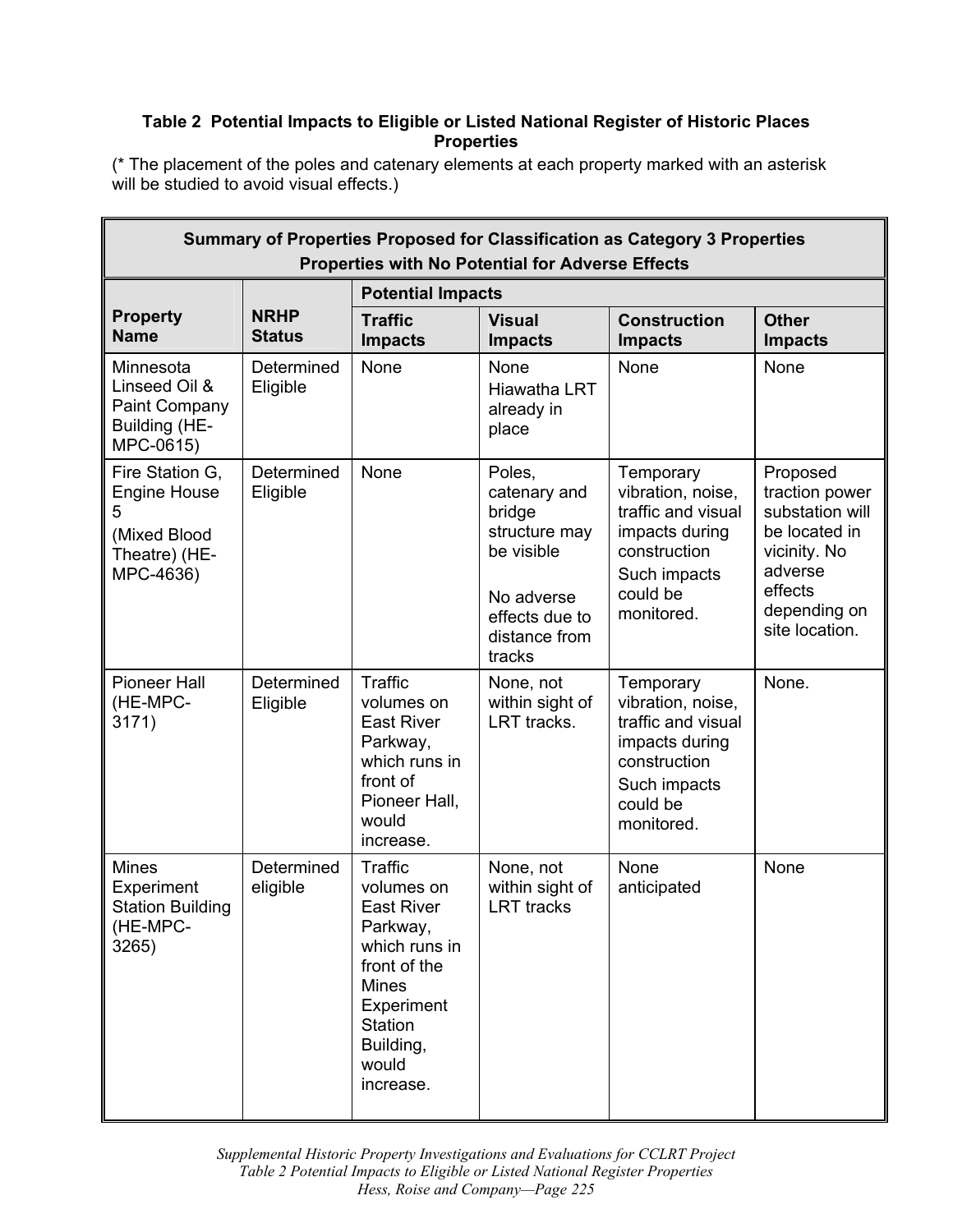## **Table 2 Potential Impacts to Eligible or Listed National Register of Historic Places Properties**

(\* The placement of the poles and catenary elements at each property marked with an asterisk will be studied to avoid visual effects.)

| Summary of Properties Proposed for Classification as Category 3 Properties<br><b>Properties with No Potential for Adverse Effects</b> |                              |                                                                                                                                                                            |                                                                                                                            |                                                                                                                                  |                                                                                                                                        |  |
|---------------------------------------------------------------------------------------------------------------------------------------|------------------------------|----------------------------------------------------------------------------------------------------------------------------------------------------------------------------|----------------------------------------------------------------------------------------------------------------------------|----------------------------------------------------------------------------------------------------------------------------------|----------------------------------------------------------------------------------------------------------------------------------------|--|
|                                                                                                                                       | <b>Potential Impacts</b>     |                                                                                                                                                                            |                                                                                                                            |                                                                                                                                  |                                                                                                                                        |  |
| <b>Property</b><br><b>Name</b>                                                                                                        | <b>NRHP</b><br><b>Status</b> | <b>Traffic</b><br><b>Impacts</b>                                                                                                                                           | <b>Visual</b><br><b>Impacts</b>                                                                                            | <b>Construction</b><br><b>Impacts</b>                                                                                            | <b>Other</b><br><b>Impacts</b>                                                                                                         |  |
| Minnesota<br>Linseed Oil &<br>Paint Company<br>Building (HE-<br>MPC-0615)                                                             | Determined<br>Eligible       | None                                                                                                                                                                       | None<br><b>Hiawatha LRT</b><br>already in<br>place                                                                         | None                                                                                                                             | None                                                                                                                                   |  |
| Fire Station G,<br><b>Engine House</b><br>5<br>(Mixed Blood<br>Theatre) (HE-<br>MPC-4636)                                             | Determined<br>Eligible       | None                                                                                                                                                                       | Poles,<br>catenary and<br>bridge<br>structure may<br>be visible<br>No adverse<br>effects due to<br>distance from<br>tracks | Temporary<br>vibration, noise,<br>traffic and visual<br>impacts during<br>construction<br>Such impacts<br>could be<br>monitored. | Proposed<br>traction power<br>substation will<br>be located in<br>vicinity. No<br>adverse<br>effects<br>depending on<br>site location. |  |
| <b>Pioneer Hall</b><br>(HE-MPC-<br>3171)                                                                                              | Determined<br>Eligible       | Traffic<br>volumes on<br><b>East River</b><br>Parkway,<br>which runs in<br>front of<br>Pioneer Hall,<br>would<br>increase.                                                 | None, not<br>within sight of<br>LRT tracks.                                                                                | Temporary<br>vibration, noise,<br>traffic and visual<br>impacts during<br>construction<br>Such impacts<br>could be<br>monitored. | None.                                                                                                                                  |  |
| <b>Mines</b><br>Experiment<br><b>Station Building</b><br>(HE-MPC-<br>3265)                                                            | Determined<br>eligible       | Traffic<br>volumes on<br><b>East River</b><br>Parkway,<br>which runs in<br>front of the<br><b>Mines</b><br>Experiment<br><b>Station</b><br>Building,<br>would<br>increase. | None, not<br>within sight of<br><b>LRT</b> tracks                                                                          | <b>None</b><br>anticipated                                                                                                       | None                                                                                                                                   |  |

 *Supplemental Historic Property Investigations and Evaluations for CCLRT Project Hess, Roise and Company—Page 225 Table 2 Potential Impacts to Eligible or Listed National Register Properties*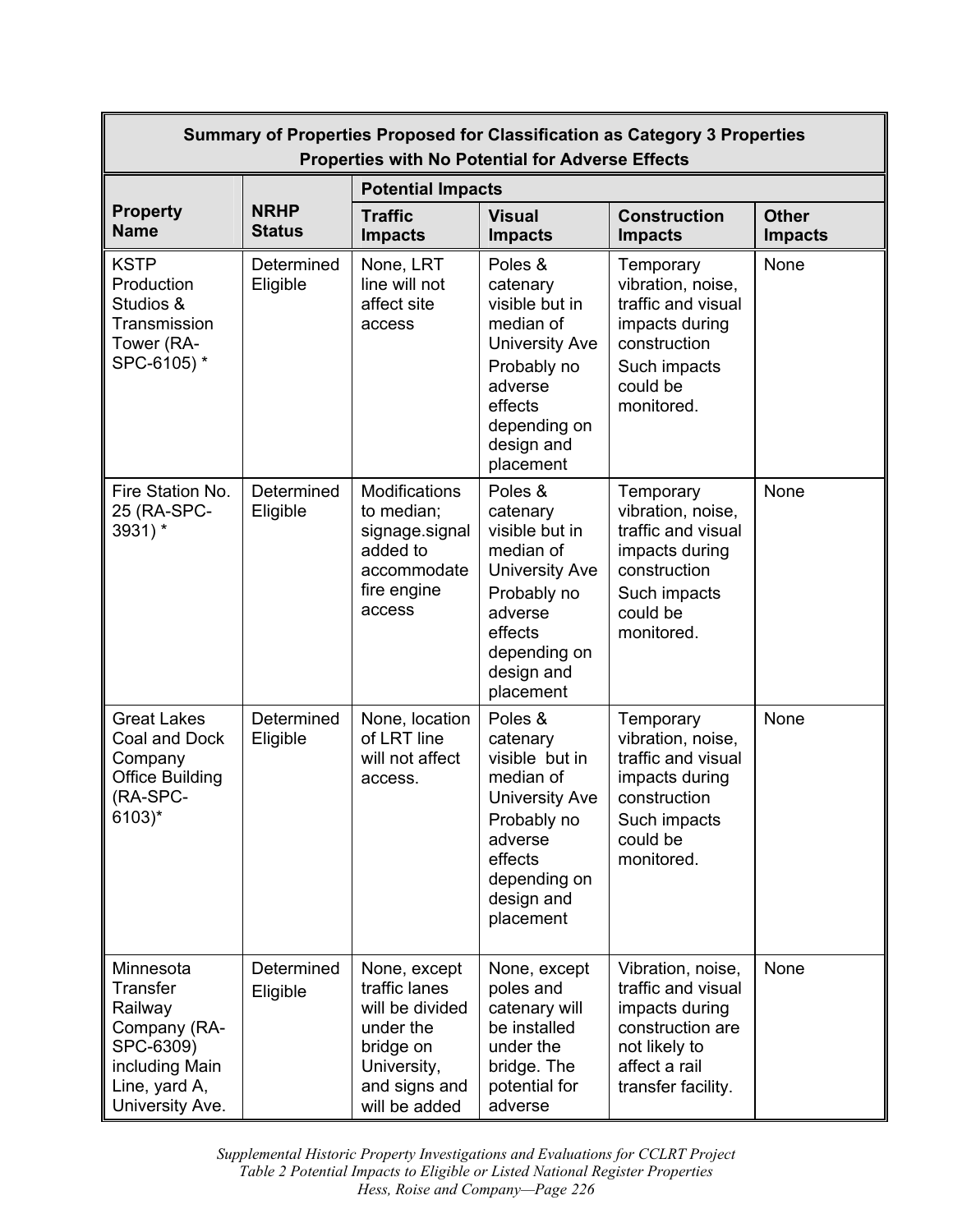| Summary of Properties Proposed for Classification as Category 3 Properties<br><b>Properties with No Potential for Adverse Effects</b> |                              |                                                                                                                             |                                                                                                                                                             |                                                                                                                                       |                                |
|---------------------------------------------------------------------------------------------------------------------------------------|------------------------------|-----------------------------------------------------------------------------------------------------------------------------|-------------------------------------------------------------------------------------------------------------------------------------------------------------|---------------------------------------------------------------------------------------------------------------------------------------|--------------------------------|
|                                                                                                                                       |                              | <b>Potential Impacts</b>                                                                                                    |                                                                                                                                                             |                                                                                                                                       |                                |
| <b>Property</b><br><b>Name</b>                                                                                                        | <b>NRHP</b><br><b>Status</b> | <b>Traffic</b><br><b>Impacts</b>                                                                                            | <b>Visual</b><br><b>Impacts</b>                                                                                                                             | <b>Construction</b><br><b>Impacts</b>                                                                                                 | <b>Other</b><br><b>Impacts</b> |
| <b>KSTP</b><br>Production<br>Studios &<br>Transmission<br>Tower (RA-<br>SPC-6105) *                                                   | Determined<br>Eligible       | None, LRT<br>line will not<br>affect site<br>access                                                                         | Poles &<br>catenary<br>visible but in<br>median of<br><b>University Ave</b><br>Probably no<br>adverse<br>effects<br>depending on<br>design and<br>placement | Temporary<br>vibration, noise,<br>traffic and visual<br>impacts during<br>construction<br>Such impacts<br>could be<br>monitored.      | None                           |
| Fire Station No.<br>25 (RA-SPC-<br>3931) *                                                                                            | Determined<br>Eligible       | Modifications<br>to median;<br>signage.signal<br>added to<br>accommodate<br>fire engine<br>access                           | Poles &<br>catenary<br>visible but in<br>median of<br><b>University Ave</b><br>Probably no<br>adverse<br>effects<br>depending on<br>design and<br>placement | Temporary<br>vibration, noise,<br>traffic and visual<br>impacts during<br>construction<br>Such impacts<br>could be<br>monitored.      | None                           |
| <b>Great Lakes</b><br>Coal and Dock<br>Company<br><b>Office Building</b><br>(RA-SPC-<br>6103)*                                        | Determined<br>Eligible       | None, location<br>of LRT line<br>will not affect<br>access.                                                                 | Poles &<br>catenary<br>visible but in<br>median of<br><b>University Ave</b><br>Probably no<br>adverse<br>effects<br>depending on<br>design and<br>placement | Temporary<br>vibration, noise,<br>traffic and visual<br>impacts during<br>construction<br>Such impacts<br>could be<br>monitored.      | None                           |
| Minnesota<br><b>Transfer</b><br>Railway<br>Company (RA-<br>SPC-6309)<br>including Main<br>Line, yard A,<br>University Ave.            | Determined<br>Eligible       | None, except<br>traffic lanes<br>will be divided<br>under the<br>bridge on<br>University,<br>and signs and<br>will be added | None, except<br>poles and<br>catenary will<br>be installed<br>under the<br>bridge. The<br>potential for<br>adverse                                          | Vibration, noise,<br>traffic and visual<br>impacts during<br>construction are<br>not likely to<br>affect a rail<br>transfer facility. | None                           |

 *Supplemental Historic Property Investigations and Evaluations for CCLRT Project Hess, Roise and Company—Page 226 Table 2 Potential Impacts to Eligible or Listed National Register Properties*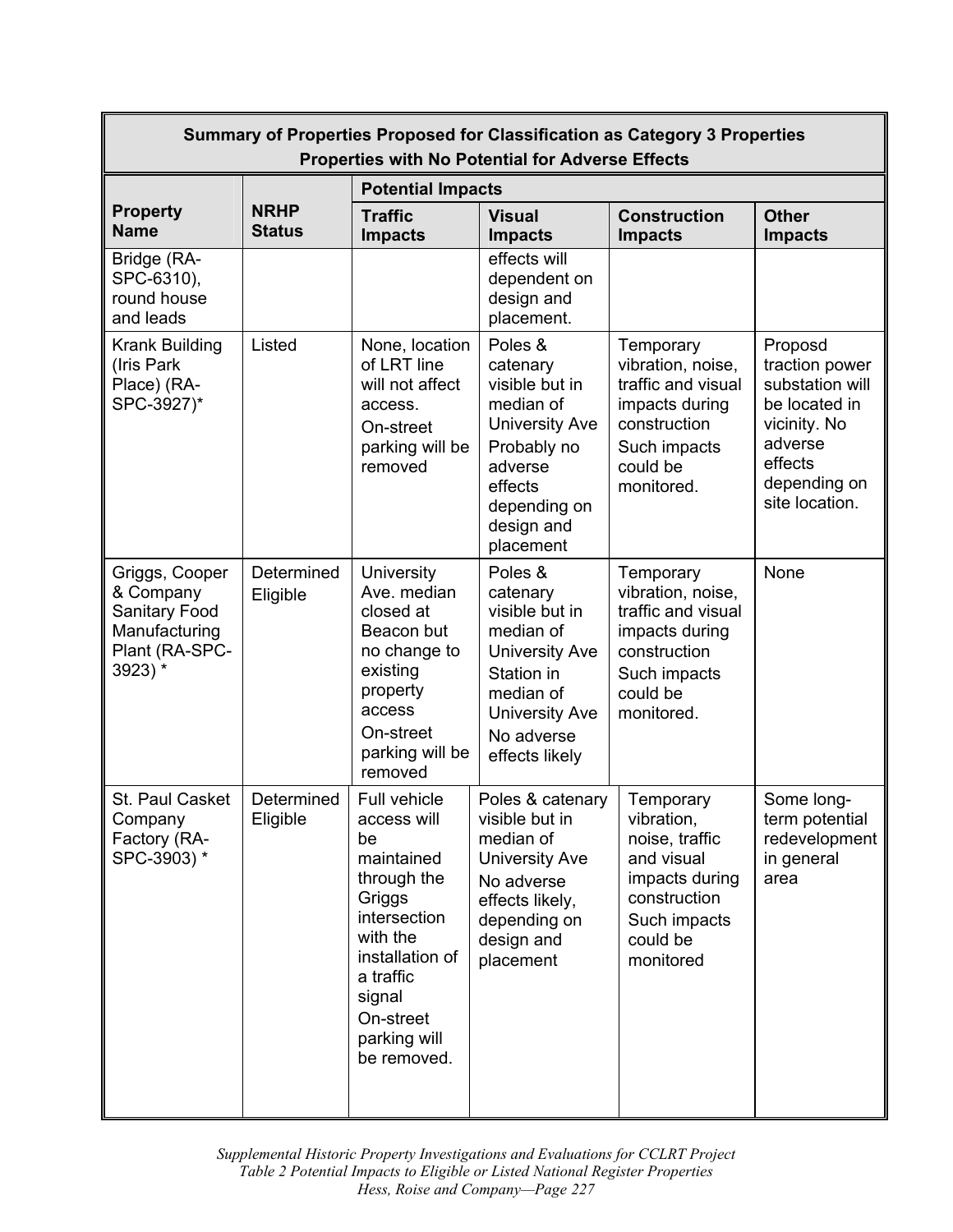| Summary of Properties Proposed for Classification as Category 3 Properties<br><b>Properties with No Potential for Adverse Effects</b> |                              |                                                                                                                                                                                            |                                                                                                                                                                 |                                                                                                                                    |                                                                                                                                       |
|---------------------------------------------------------------------------------------------------------------------------------------|------------------------------|--------------------------------------------------------------------------------------------------------------------------------------------------------------------------------------------|-----------------------------------------------------------------------------------------------------------------------------------------------------------------|------------------------------------------------------------------------------------------------------------------------------------|---------------------------------------------------------------------------------------------------------------------------------------|
|                                                                                                                                       | <b>Potential Impacts</b>     |                                                                                                                                                                                            |                                                                                                                                                                 |                                                                                                                                    |                                                                                                                                       |
| <b>Property</b><br><b>Name</b>                                                                                                        | <b>NRHP</b><br><b>Status</b> | <b>Traffic</b><br><b>Impacts</b>                                                                                                                                                           | <b>Visual</b><br><b>Impacts</b>                                                                                                                                 | <b>Construction</b><br><b>Impacts</b>                                                                                              | <b>Other</b><br><b>Impacts</b>                                                                                                        |
| Bridge (RA-<br>SPC-6310),<br>round house<br>and leads                                                                                 |                              |                                                                                                                                                                                            | effects will<br>dependent on<br>design and<br>placement.                                                                                                        |                                                                                                                                    |                                                                                                                                       |
| Krank Building<br>(Iris Park<br>Place) (RA-<br>SPC-3927)*                                                                             | Listed                       | None, location<br>of LRT line<br>will not affect<br>access.<br>On-street<br>parking will be<br>removed                                                                                     | Poles &<br>catenary<br>visible but in<br>median of<br><b>University Ave</b><br>Probably no<br>adverse<br>effects<br>depending on<br>design and<br>placement     | Temporary<br>vibration, noise,<br>traffic and visual<br>impacts during<br>construction<br>Such impacts<br>could be<br>monitored.   | Proposd<br>traction power<br>substation will<br>be located in<br>vicinity. No<br>adverse<br>effects<br>depending on<br>site location. |
| Griggs, Cooper<br>& Company<br>Sanitary Food<br>Manufacturing<br>Plant (RA-SPC-<br>3923) *                                            | Determined<br>Eligible       | University<br>Ave. median<br>closed at<br>Beacon but<br>no change to<br>existing<br>property<br>access<br>On-street<br>parking will be<br>removed                                          | Poles &<br>catenary<br>visible but in<br>median of<br><b>University Ave</b><br>Station in<br>median of<br><b>University Ave</b><br>No adverse<br>effects likely | Temporary<br>vibration, noise,<br>traffic and visual<br>impacts during<br>construction<br>Such impacts<br>could be<br>monitored.   | None                                                                                                                                  |
| St. Paul Casket<br>Company<br>Factory (RA-<br>SPC-3903) *                                                                             | Determined<br>Eligible       | Full vehicle<br>access will<br>be<br>maintained<br>through the<br>Griggs<br>intersection<br>with the<br>installation of<br>a traffic<br>signal<br>On-street<br>parking will<br>be removed. | Poles & catenary<br>visible but in<br>median of<br><b>University Ave</b><br>No adverse<br>effects likely,<br>depending on<br>design and<br>placement            | Temporary<br>vibration,<br>noise, traffic<br>and visual<br>impacts during<br>construction<br>Such impacts<br>could be<br>monitored | Some long-<br>term potential<br>redevelopment<br>in general<br>area                                                                   |

 *Supplemental Historic Property Investigations and Evaluations for CCLRT Project Hess, Roise and Company—Page 227 Table 2 Potential Impacts to Eligible or Listed National Register Properties*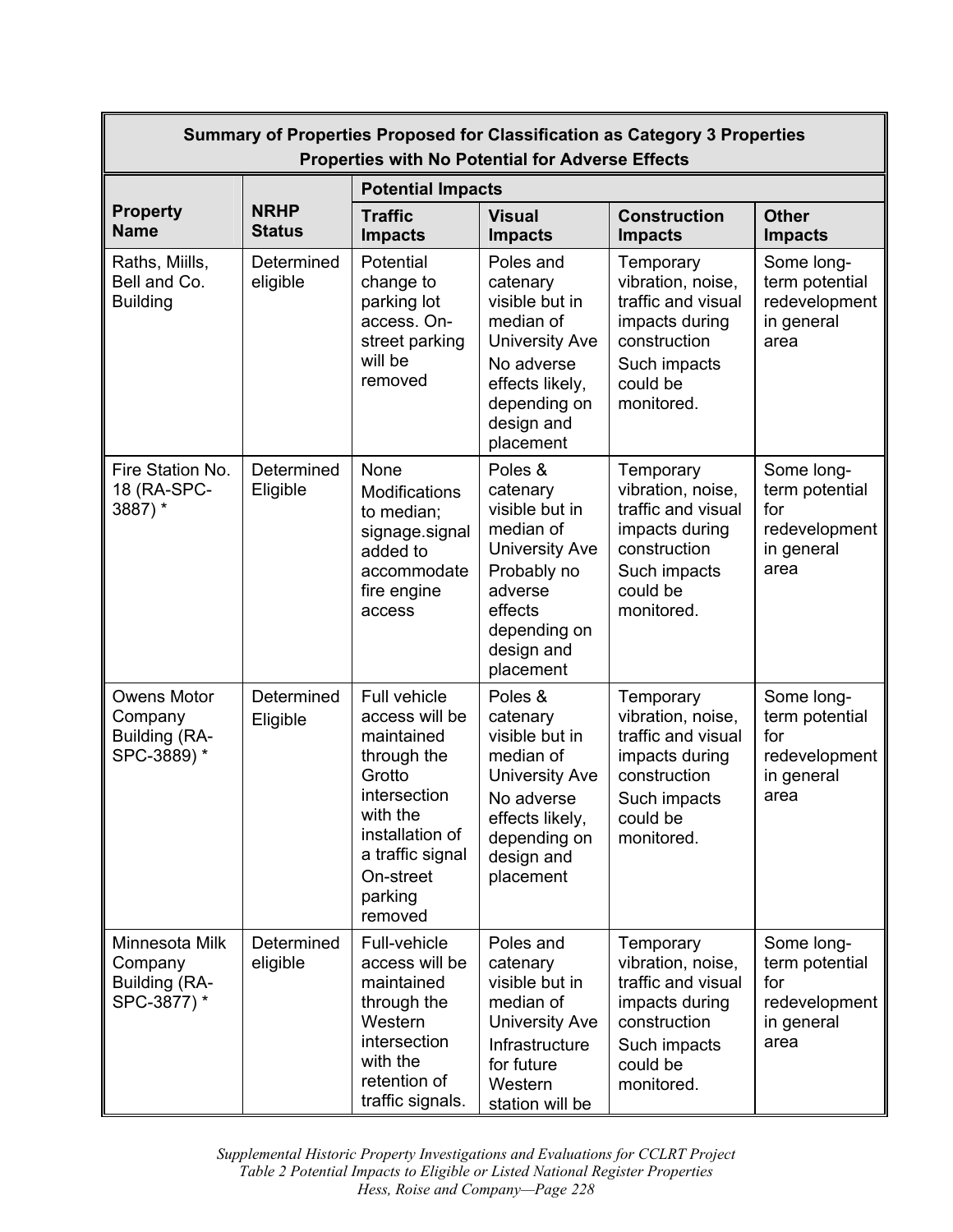| Summary of Properties Proposed for Classification as Category 3 Properties<br><b>Properties with No Potential for Adverse Effects</b> |                              |                                                                                                                                                                             |                                                                                                                                                             |                                                                                                                                  |                                                                            |
|---------------------------------------------------------------------------------------------------------------------------------------|------------------------------|-----------------------------------------------------------------------------------------------------------------------------------------------------------------------------|-------------------------------------------------------------------------------------------------------------------------------------------------------------|----------------------------------------------------------------------------------------------------------------------------------|----------------------------------------------------------------------------|
|                                                                                                                                       |                              | <b>Potential Impacts</b>                                                                                                                                                    |                                                                                                                                                             |                                                                                                                                  |                                                                            |
| <b>Property</b><br><b>Name</b>                                                                                                        | <b>NRHP</b><br><b>Status</b> | <b>Traffic</b><br><b>Impacts</b>                                                                                                                                            | <b>Visual</b><br><b>Impacts</b>                                                                                                                             | <b>Construction</b><br><b>Impacts</b>                                                                                            | <b>Other</b><br><b>Impacts</b>                                             |
| Raths, Miills,<br>Bell and Co.<br><b>Building</b>                                                                                     | Determined<br>eligible       | Potential<br>change to<br>parking lot<br>access. On-<br>street parking<br>will be<br>removed                                                                                | Poles and<br>catenary<br>visible but in<br>median of<br><b>University Ave</b><br>No adverse<br>effects likely,<br>depending on<br>design and<br>placement   | Temporary<br>vibration, noise,<br>traffic and visual<br>impacts during<br>construction<br>Such impacts<br>could be<br>monitored. | Some long-<br>term potential<br>redevelopment<br>in general<br>area        |
| Fire Station No.<br>18 (RA-SPC-<br>3887) *                                                                                            | Determined<br>Eligible       | None<br><b>Modifications</b><br>to median;<br>signage.signal<br>added to<br>accommodate<br>fire engine<br>access                                                            | Poles &<br>catenary<br>visible but in<br>median of<br><b>University Ave</b><br>Probably no<br>adverse<br>effects<br>depending on<br>design and<br>placement | Temporary<br>vibration, noise,<br>traffic and visual<br>impacts during<br>construction<br>Such impacts<br>could be<br>monitored. | Some long-<br>term potential<br>for<br>redevelopment<br>in general<br>area |
| <b>Owens Motor</b><br>Company<br>Building (RA-<br>SPC-3889)*                                                                          | Determined<br>Eligible       | Full vehicle<br>access will be<br>maintained<br>through the<br>Grotto<br>intersection<br>with the<br>installation of<br>a traffic signal<br>On-street<br>parking<br>removed | Poles &<br>catenary<br>visible but in<br>median of<br><b>University Ave</b><br>No adverse<br>effects likely,<br>depending on<br>design and<br>placement     | Temporary<br>vibration, noise,<br>traffic and visual<br>impacts during<br>construction<br>Such impacts<br>could be<br>monitored. | Some long-<br>term potential<br>for<br>redevelopment<br>in general<br>area |
| Minnesota Milk<br>Company<br>Building (RA-<br>SPC-3877) *                                                                             | Determined<br>eligible       | Full-vehicle<br>access will be<br>maintained<br>through the<br>Western<br>intersection<br>with the<br>retention of<br>traffic signals.                                      | Poles and<br>catenary<br>visible but in<br>median of<br><b>University Ave</b><br>Infrastructure<br>for future<br>Western<br>station will be                 | Temporary<br>vibration, noise,<br>traffic and visual<br>impacts during<br>construction<br>Such impacts<br>could be<br>monitored. | Some long-<br>term potential<br>for<br>redevelopment<br>in general<br>area |

 *Supplemental Historic Property Investigations and Evaluations for CCLRT Project Hess, Roise and Company—Page 228 Table 2 Potential Impacts to Eligible or Listed National Register Properties*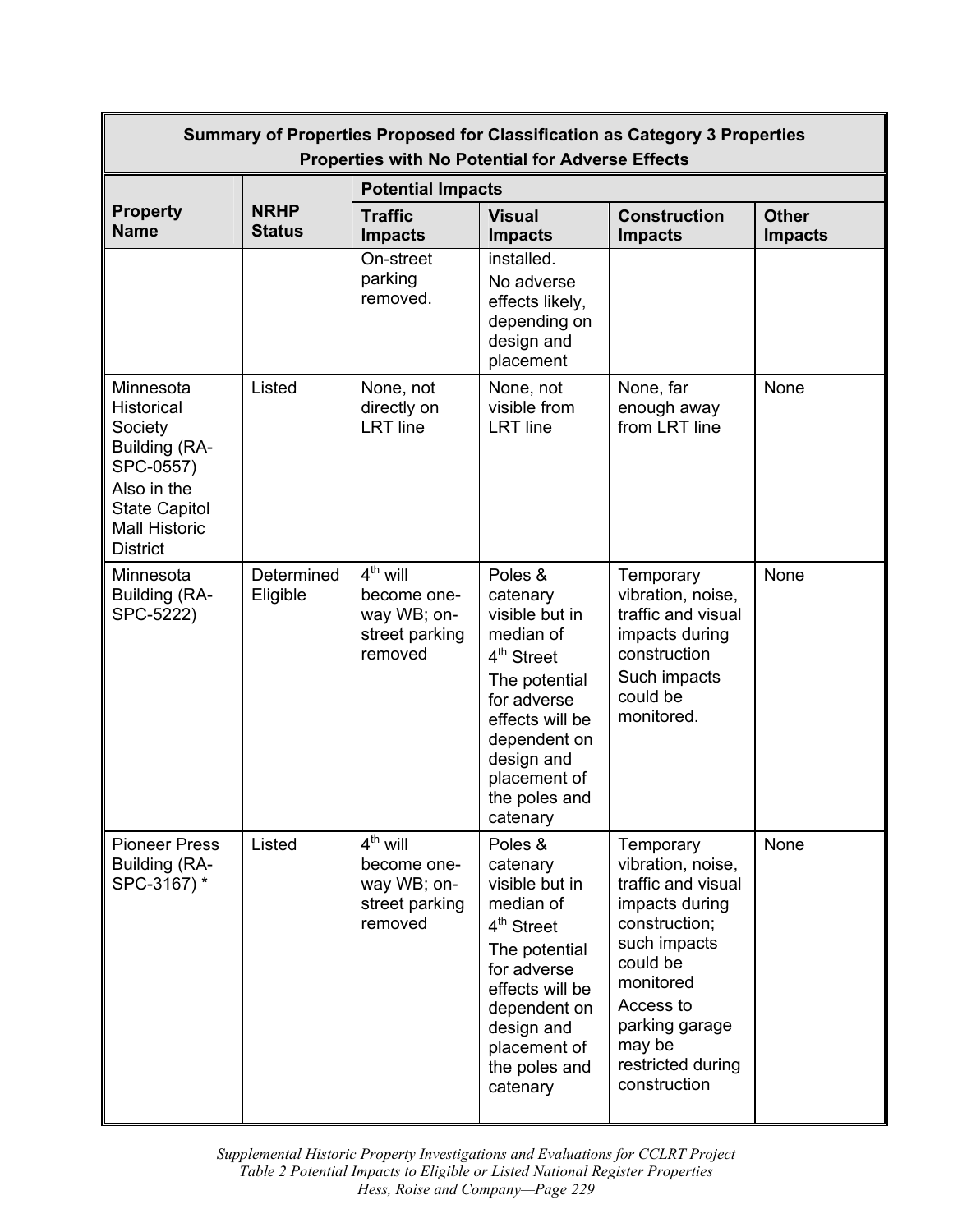| Summary of Properties Proposed for Classification as Category 3 Properties<br><b>Properties with No Potential for Adverse Effects</b>                     |                              |                                                                       |                                                                                                                                                                                                            |                                                                                                                                                                                                                |                                |  |
|-----------------------------------------------------------------------------------------------------------------------------------------------------------|------------------------------|-----------------------------------------------------------------------|------------------------------------------------------------------------------------------------------------------------------------------------------------------------------------------------------------|----------------------------------------------------------------------------------------------------------------------------------------------------------------------------------------------------------------|--------------------------------|--|
|                                                                                                                                                           |                              | <b>Potential Impacts</b>                                              |                                                                                                                                                                                                            |                                                                                                                                                                                                                |                                |  |
| <b>Property</b><br><b>Name</b>                                                                                                                            | <b>NRHP</b><br><b>Status</b> | <b>Traffic</b><br><b>Impacts</b>                                      | <b>Visual</b><br><b>Impacts</b>                                                                                                                                                                            | <b>Construction</b><br><b>Impacts</b>                                                                                                                                                                          | <b>Other</b><br><b>Impacts</b> |  |
|                                                                                                                                                           |                              | On-street<br>parking<br>removed.                                      | installed.<br>No adverse<br>effects likely,<br>depending on<br>design and<br>placement                                                                                                                     |                                                                                                                                                                                                                |                                |  |
| Minnesota<br><b>Historical</b><br>Society<br>Building (RA-<br>SPC-0557)<br>Also in the<br><b>State Capitol</b><br><b>Mall Historic</b><br><b>District</b> | Listed                       | None, not<br>directly on<br><b>LRT</b> line                           | None, not<br>visible from<br><b>LRT</b> line                                                                                                                                                               | None, far<br>enough away<br>from LRT line                                                                                                                                                                      | None                           |  |
| Minnesota<br>Building (RA-<br>SPC-5222)                                                                                                                   | Determined<br>Eligible       | $4th$ will<br>become one-<br>way WB; on-<br>street parking<br>removed | Poles &<br>catenary<br>visible but in<br>median of<br>4 <sup>th</sup> Street<br>The potential<br>for adverse<br>effects will be<br>dependent on<br>design and<br>placement of<br>the poles and<br>catenary | Temporary<br>vibration, noise,<br>traffic and visual<br>impacts during<br>construction<br>Such impacts<br>could be<br>monitored.                                                                               | None                           |  |
| <b>Pioneer Press</b><br>Building (RA-<br>SPC-3167)*                                                                                                       | Listed                       | $4th$ will<br>become one-<br>way WB; on-<br>street parking<br>removed | Poles &<br>catenary<br>visible but in<br>median of<br>4 <sup>th</sup> Street<br>The potential<br>for adverse<br>effects will be<br>dependent on<br>design and<br>placement of<br>the poles and<br>catenary | Temporary<br>vibration, noise,<br>traffic and visual<br>impacts during<br>construction;<br>such impacts<br>could be<br>monitored<br>Access to<br>parking garage<br>may be<br>restricted during<br>construction | None                           |  |

 *Supplemental Historic Property Investigations and Evaluations for CCLRT Project Hess, Roise and Company—Page 229 Table 2 Potential Impacts to Eligible or Listed National Register Properties*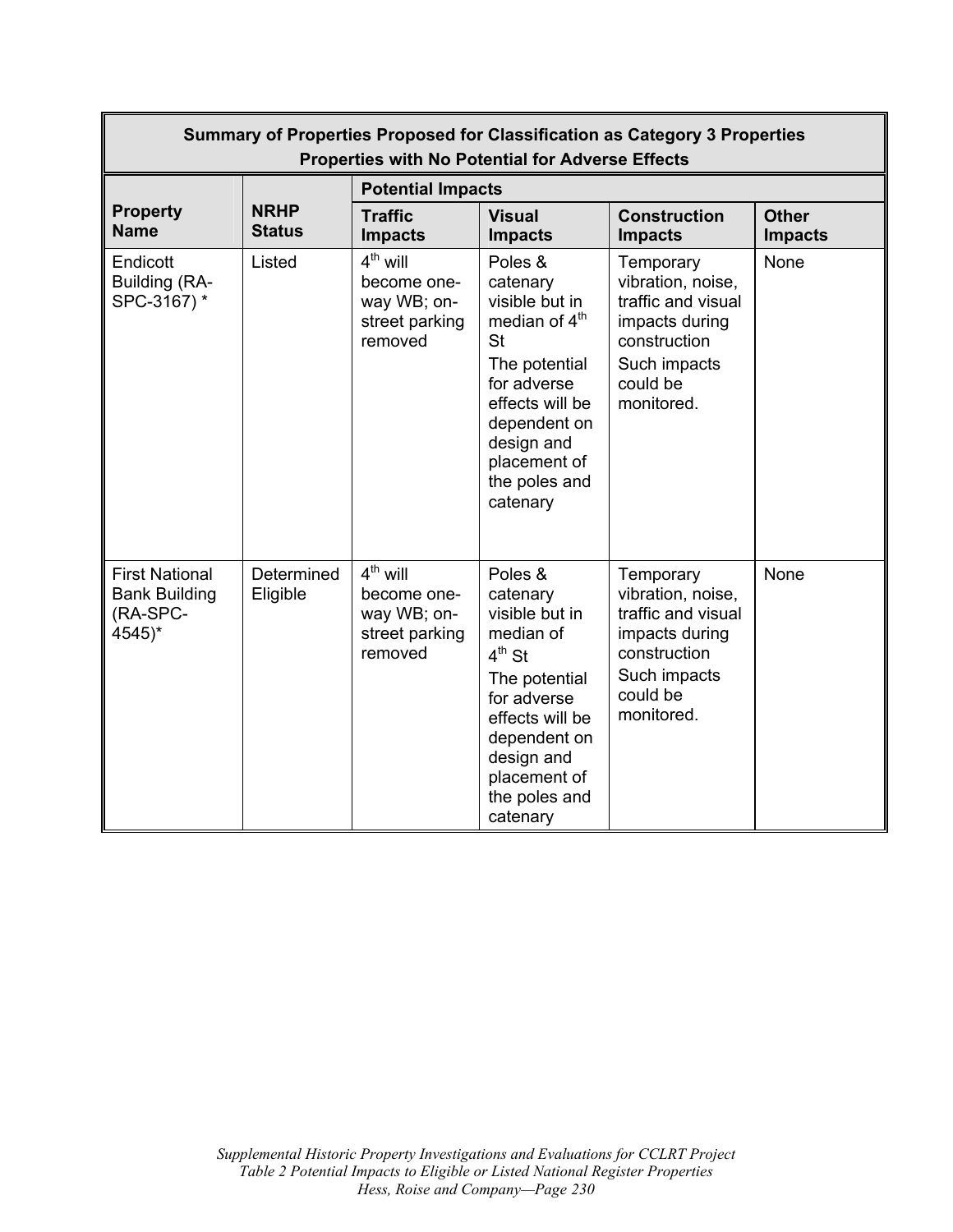| Summary of Properties Proposed for Classification as Category 3 Properties<br><b>Properties with No Potential for Adverse Effects</b> |                              |                                                                       |                                                                                                                                                                                                               |                                                                                                                                  |                                |  |
|---------------------------------------------------------------------------------------------------------------------------------------|------------------------------|-----------------------------------------------------------------------|---------------------------------------------------------------------------------------------------------------------------------------------------------------------------------------------------------------|----------------------------------------------------------------------------------------------------------------------------------|--------------------------------|--|
|                                                                                                                                       |                              | <b>Potential Impacts</b>                                              |                                                                                                                                                                                                               |                                                                                                                                  |                                |  |
| <b>Property</b><br><b>Name</b>                                                                                                        | <b>NRHP</b><br><b>Status</b> | <b>Traffic</b><br><b>Impacts</b>                                      | <b>Visual</b><br><b>Impacts</b>                                                                                                                                                                               | <b>Construction</b><br><b>Impacts</b>                                                                                            | <b>Other</b><br><b>Impacts</b> |  |
| Endicott<br>Building (RA-<br>SPC-3167) *                                                                                              | Listed                       | $4th$ will<br>become one-<br>way WB; on-<br>street parking<br>removed | Poles &<br>catenary<br>visible but in<br>median of 4 <sup>th</sup><br><b>St</b><br>The potential<br>for adverse<br>effects will be<br>dependent on<br>design and<br>placement of<br>the poles and<br>catenary | Temporary<br>vibration, noise,<br>traffic and visual<br>impacts during<br>construction<br>Such impacts<br>could be<br>monitored. | None                           |  |
| <b>First National</b><br><b>Bank Building</b><br>(RA-SPC-<br>4545)*                                                                   | Determined<br>Eligible       | $4th$ will<br>become one-<br>way WB; on-<br>street parking<br>removed | Poles &<br>catenary<br>visible but in<br>median of<br>$4^{th}$ St<br>The potential<br>for adverse<br>effects will be<br>dependent on<br>design and<br>placement of<br>the poles and<br>catenary               | Temporary<br>vibration, noise,<br>traffic and visual<br>impacts during<br>construction<br>Such impacts<br>could be<br>monitored. | None                           |  |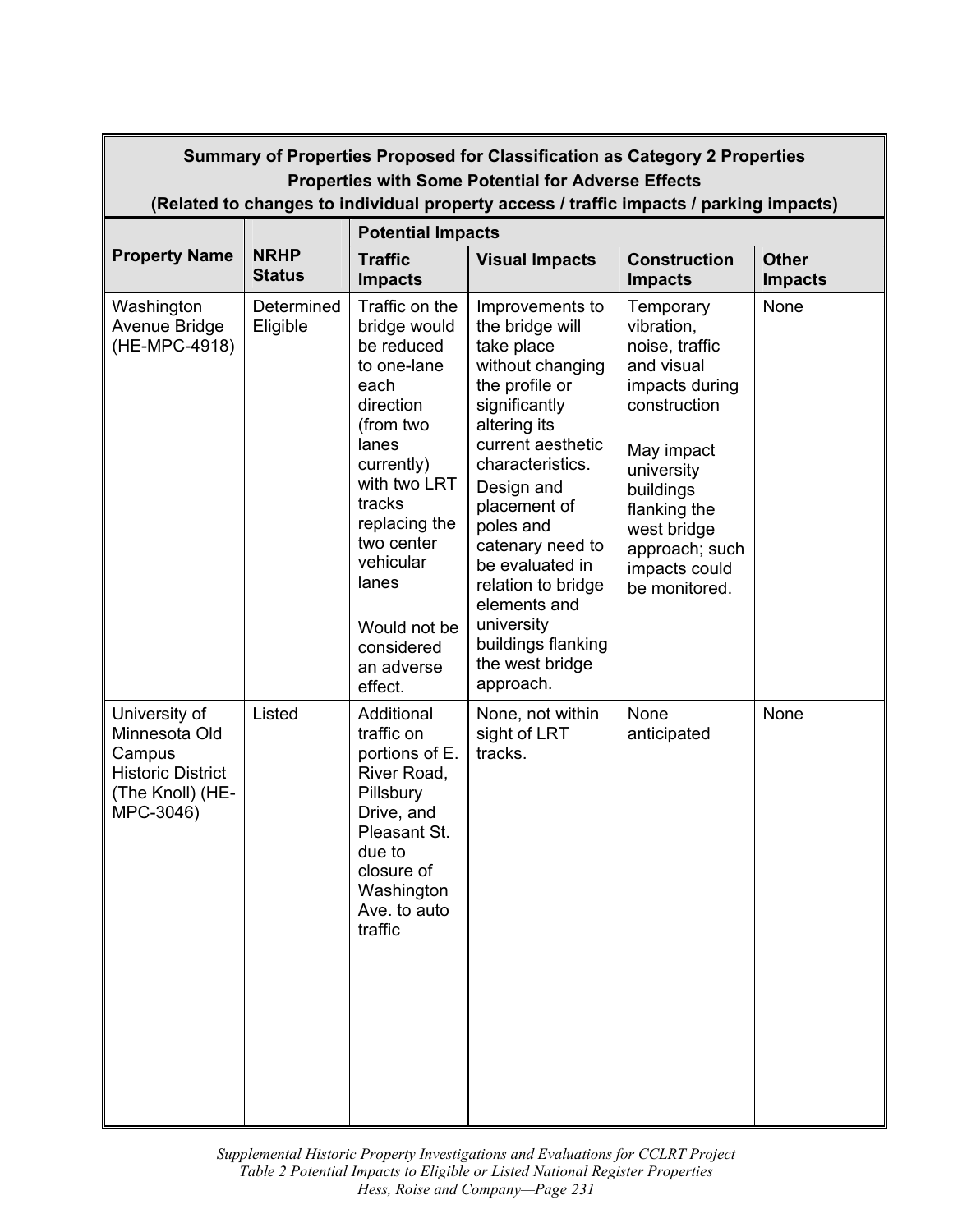| Summary of Properties Proposed for Classification as Category 2 Properties<br><b>Properties with Some Potential for Adverse Effects</b><br>(Related to changes to individual property access / traffic impacts / parking impacts) |                              |                                                                                                                                                                                                                                                            |                                                                                                                                                                                                                                                                                                                                                              |                                                                                                                                                                                                                       |                                |  |  |
|-----------------------------------------------------------------------------------------------------------------------------------------------------------------------------------------------------------------------------------|------------------------------|------------------------------------------------------------------------------------------------------------------------------------------------------------------------------------------------------------------------------------------------------------|--------------------------------------------------------------------------------------------------------------------------------------------------------------------------------------------------------------------------------------------------------------------------------------------------------------------------------------------------------------|-----------------------------------------------------------------------------------------------------------------------------------------------------------------------------------------------------------------------|--------------------------------|--|--|
|                                                                                                                                                                                                                                   |                              | <b>Potential Impacts</b>                                                                                                                                                                                                                                   |                                                                                                                                                                                                                                                                                                                                                              |                                                                                                                                                                                                                       |                                |  |  |
| <b>Property Name</b>                                                                                                                                                                                                              | <b>NRHP</b><br><b>Status</b> | <b>Traffic</b><br><b>Impacts</b>                                                                                                                                                                                                                           | <b>Visual Impacts</b>                                                                                                                                                                                                                                                                                                                                        | <b>Construction</b><br><b>Impacts</b>                                                                                                                                                                                 | <b>Other</b><br><b>Impacts</b> |  |  |
| Washington<br>Avenue Bridge<br>(HE-MPC-4918)                                                                                                                                                                                      | Determined<br>Eligible       | Traffic on the<br>bridge would<br>be reduced<br>to one-lane<br>each<br>direction<br>(from two<br>lanes<br>currently)<br>with two LRT<br>tracks<br>replacing the<br>two center<br>vehicular<br>lanes<br>Would not be<br>considered<br>an adverse<br>effect. | Improvements to<br>the bridge will<br>take place<br>without changing<br>the profile or<br>significantly<br>altering its<br>current aesthetic<br>characteristics.<br>Design and<br>placement of<br>poles and<br>catenary need to<br>be evaluated in<br>relation to bridge<br>elements and<br>university<br>buildings flanking<br>the west bridge<br>approach. | Temporary<br>vibration,<br>noise, traffic<br>and visual<br>impacts during<br>construction<br>May impact<br>university<br>buildings<br>flanking the<br>west bridge<br>approach; such<br>impacts could<br>be monitored. | None                           |  |  |
| University of<br>Minnesota Old<br>Campus<br><b>Historic District</b><br>(The Knoll) (HE-<br>MPC-3046)                                                                                                                             | Listed                       | Additional<br>traffic on<br>portions of E.<br>River Road,<br>Pillsbury<br>Drive, and<br>Pleasant St.<br>due to<br>closure of<br>Washington<br>Ave. to auto<br>traffic                                                                                      | None, not within<br>sight of LRT<br>tracks.                                                                                                                                                                                                                                                                                                                  | None<br>anticipated                                                                                                                                                                                                   | None                           |  |  |

 *Supplemental Historic Property Investigations and Evaluations for CCLRT Project Hess, Roise and Company—Page 231 Table 2 Potential Impacts to Eligible or Listed National Register Properties*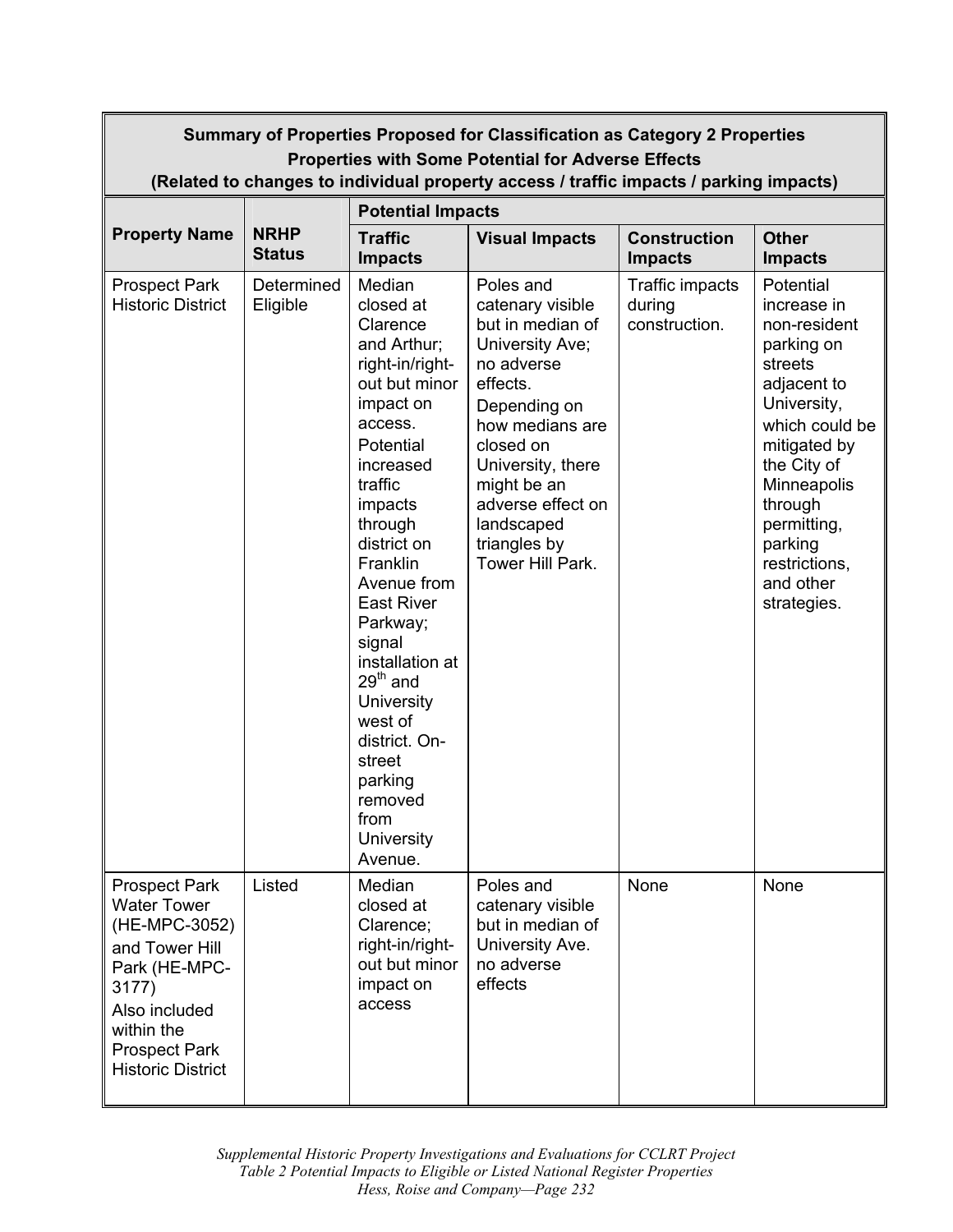| Summary of Properties Proposed for Classification as Category 2 Properties<br><b>Properties with Some Potential for Adverse Effects</b><br>(Related to changes to individual property access / traffic impacts / parking impacts) |                              |                                                                                                                                                                                                                                                                                                                                                                                                               |                                                                                                                                                                                                                                                           |                                            |                                                                                                                                                                                                                                                   |  |
|-----------------------------------------------------------------------------------------------------------------------------------------------------------------------------------------------------------------------------------|------------------------------|---------------------------------------------------------------------------------------------------------------------------------------------------------------------------------------------------------------------------------------------------------------------------------------------------------------------------------------------------------------------------------------------------------------|-----------------------------------------------------------------------------------------------------------------------------------------------------------------------------------------------------------------------------------------------------------|--------------------------------------------|---------------------------------------------------------------------------------------------------------------------------------------------------------------------------------------------------------------------------------------------------|--|
|                                                                                                                                                                                                                                   |                              | <b>Potential Impacts</b>                                                                                                                                                                                                                                                                                                                                                                                      |                                                                                                                                                                                                                                                           |                                            |                                                                                                                                                                                                                                                   |  |
| <b>Property Name</b>                                                                                                                                                                                                              | <b>NRHP</b><br><b>Status</b> | <b>Traffic</b><br><b>Impacts</b>                                                                                                                                                                                                                                                                                                                                                                              | <b>Visual Impacts</b>                                                                                                                                                                                                                                     | <b>Construction</b><br><b>Impacts</b>      | <b>Other</b><br><b>Impacts</b>                                                                                                                                                                                                                    |  |
| <b>Prospect Park</b><br><b>Historic District</b>                                                                                                                                                                                  | Determined<br>Eligible       | Median<br>closed at<br>Clarence<br>and Arthur;<br>right-in/right-<br>out but minor<br>impact on<br>access.<br>Potential<br>increased<br>traffic<br>impacts<br>through<br>district on<br>Franklin<br>Avenue from<br><b>East River</b><br>Parkway;<br>signal<br>installation at<br>$29th$ and<br><b>University</b><br>west of<br>district. On-<br>street<br>parking<br>removed<br>from<br>University<br>Avenue. | Poles and<br>catenary visible<br>but in median of<br>University Ave;<br>no adverse<br>effects.<br>Depending on<br>how medians are<br>closed on<br>University, there<br>might be an<br>adverse effect on<br>landscaped<br>triangles by<br>Tower Hill Park. | Traffic impacts<br>during<br>construction. | Potential<br>increase in<br>non-resident<br>parking on<br>streets<br>adjacent to<br>University,<br>which could be<br>mitigated by<br>the City of<br>Minneapolis<br>through<br>permitting,<br>parking<br>restrictions,<br>and other<br>strategies. |  |
| <b>Prospect Park</b><br><b>Water Tower</b><br>(HE-MPC-3052)<br>and Tower Hill<br>Park (HE-MPC-<br>3177)<br>Also included<br>within the<br><b>Prospect Park</b><br><b>Historic District</b>                                        | Listed                       | Median<br>closed at<br>Clarence;<br>right-in/right-<br>out but minor<br>impact on<br>access                                                                                                                                                                                                                                                                                                                   | Poles and<br>catenary visible<br>but in median of<br>University Ave.<br>no adverse<br>effects                                                                                                                                                             | None                                       | None                                                                                                                                                                                                                                              |  |

 *Supplemental Historic Property Investigations and Evaluations for CCLRT Project Hess, Roise and Company—Page 232 Table 2 Potential Impacts to Eligible or Listed National Register Properties*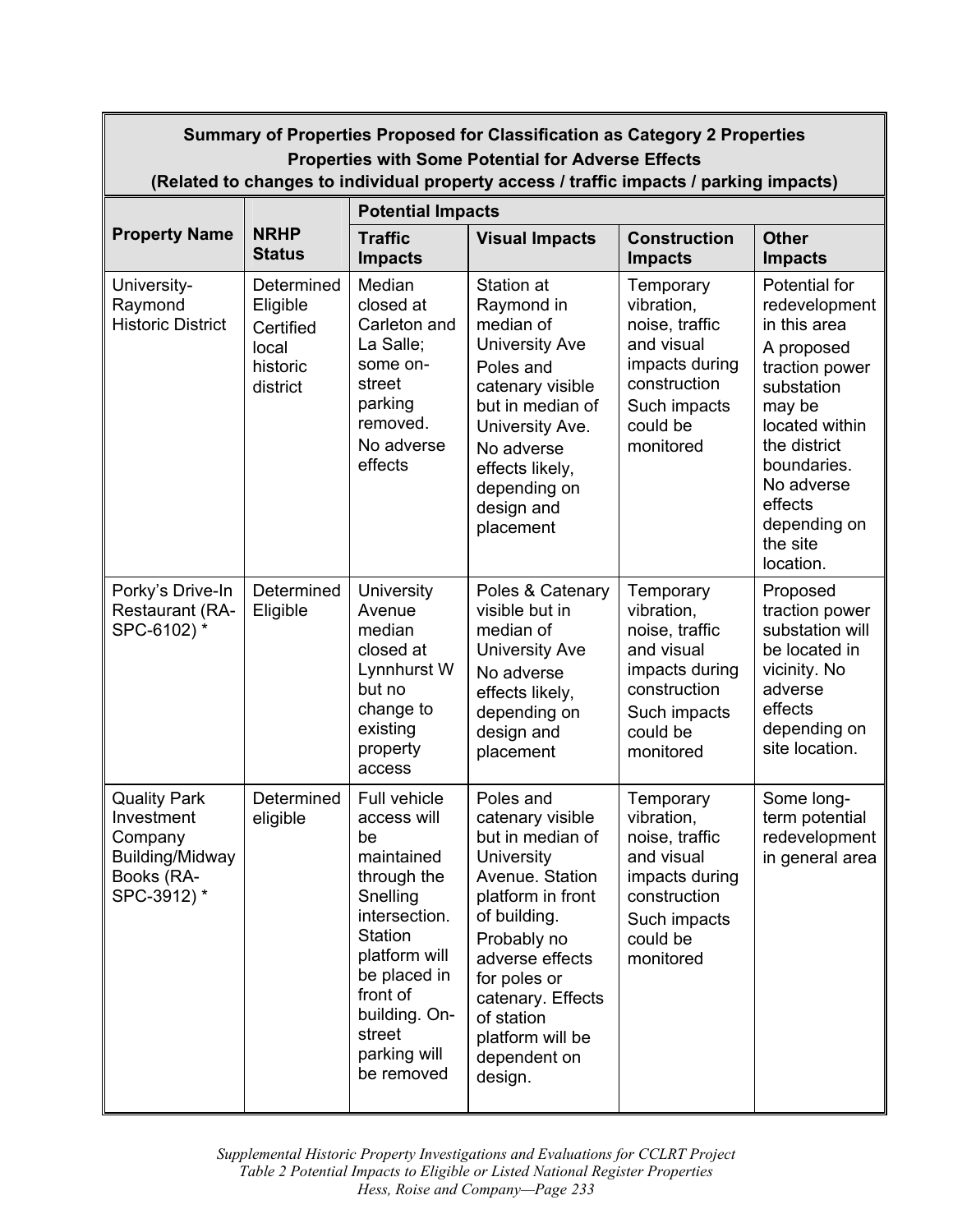| Summary of Properties Proposed for Classification as Category 2 Properties<br><b>Properties with Some Potential for Adverse Effects</b><br>(Related to changes to individual property access / traffic impacts / parking impacts) |                                                                      |                                                                                                                                                                                                              |                                                                                                                                                                                                                                                             |                                                                                                                                    |                                                                                                                                                                                                                           |  |
|-----------------------------------------------------------------------------------------------------------------------------------------------------------------------------------------------------------------------------------|----------------------------------------------------------------------|--------------------------------------------------------------------------------------------------------------------------------------------------------------------------------------------------------------|-------------------------------------------------------------------------------------------------------------------------------------------------------------------------------------------------------------------------------------------------------------|------------------------------------------------------------------------------------------------------------------------------------|---------------------------------------------------------------------------------------------------------------------------------------------------------------------------------------------------------------------------|--|
|                                                                                                                                                                                                                                   |                                                                      | <b>Potential Impacts</b>                                                                                                                                                                                     |                                                                                                                                                                                                                                                             |                                                                                                                                    |                                                                                                                                                                                                                           |  |
| <b>Property Name</b>                                                                                                                                                                                                              | <b>NRHP</b><br><b>Status</b>                                         | <b>Traffic</b><br><b>Impacts</b>                                                                                                                                                                             | <b>Visual Impacts</b>                                                                                                                                                                                                                                       | <b>Construction</b><br><b>Impacts</b>                                                                                              | <b>Other</b><br><b>Impacts</b>                                                                                                                                                                                            |  |
| University-<br>Raymond<br><b>Historic District</b>                                                                                                                                                                                | Determined<br>Eligible<br>Certified<br>local<br>historic<br>district | Median<br>closed at<br>Carleton and<br>La Salle;<br>some on-<br>street<br>parking<br>removed.<br>No adverse<br>effects                                                                                       | Station at<br>Raymond in<br>median of<br><b>University Ave</b><br>Poles and<br>catenary visible<br>but in median of<br>University Ave.<br>No adverse<br>effects likely,<br>depending on<br>design and<br>placement                                          | Temporary<br>vibration,<br>noise, traffic<br>and visual<br>impacts during<br>construction<br>Such impacts<br>could be<br>monitored | Potential for<br>redevelopment<br>in this area<br>A proposed<br>traction power<br>substation<br>may be<br>located within<br>the district<br>boundaries.<br>No adverse<br>effects<br>depending on<br>the site<br>location. |  |
| Porky's Drive-In<br>Restaurant (RA-<br>SPC-6102) *                                                                                                                                                                                | Determined<br>Eligible                                               | University<br>Avenue<br>median<br>closed at<br>Lynnhurst W<br>but no<br>change to<br>existing<br>property<br>access                                                                                          | Poles & Catenary<br>visible but in<br>median of<br><b>University Ave</b><br>No adverse<br>effects likely,<br>depending on<br>design and<br>placement                                                                                                        | Temporary<br>vibration,<br>noise, traffic<br>and visual<br>impacts during<br>construction<br>Such impacts<br>could be<br>monitored | Proposed<br>traction power<br>substation will<br>be located in<br>vicinity. No<br>adverse<br>effects<br>depending on<br>site location.                                                                                    |  |
| <b>Quality Park</b><br>Investment<br>Company<br>Building/Midway<br>Books (RA-<br>SPC-3912)*                                                                                                                                       | Determined<br>eligible                                               | Full vehicle<br>access will<br>be<br>maintained<br>through the<br>Snelling<br>intersection.<br>Station<br>platform will<br>be placed in<br>front of<br>building. On-<br>street<br>parking will<br>be removed | Poles and<br>catenary visible<br>but in median of<br>University<br>Avenue. Station<br>platform in front<br>of building.<br>Probably no<br>adverse effects<br>for poles or<br>catenary. Effects<br>of station<br>platform will be<br>dependent on<br>design. | Temporary<br>vibration,<br>noise, traffic<br>and visual<br>impacts during<br>construction<br>Such impacts<br>could be<br>monitored | Some long-<br>term potential<br>redevelopment<br>in general area                                                                                                                                                          |  |

 *Supplemental Historic Property Investigations and Evaluations for CCLRT Project Hess, Roise and Company—Page 233 Table 2 Potential Impacts to Eligible or Listed National Register Properties*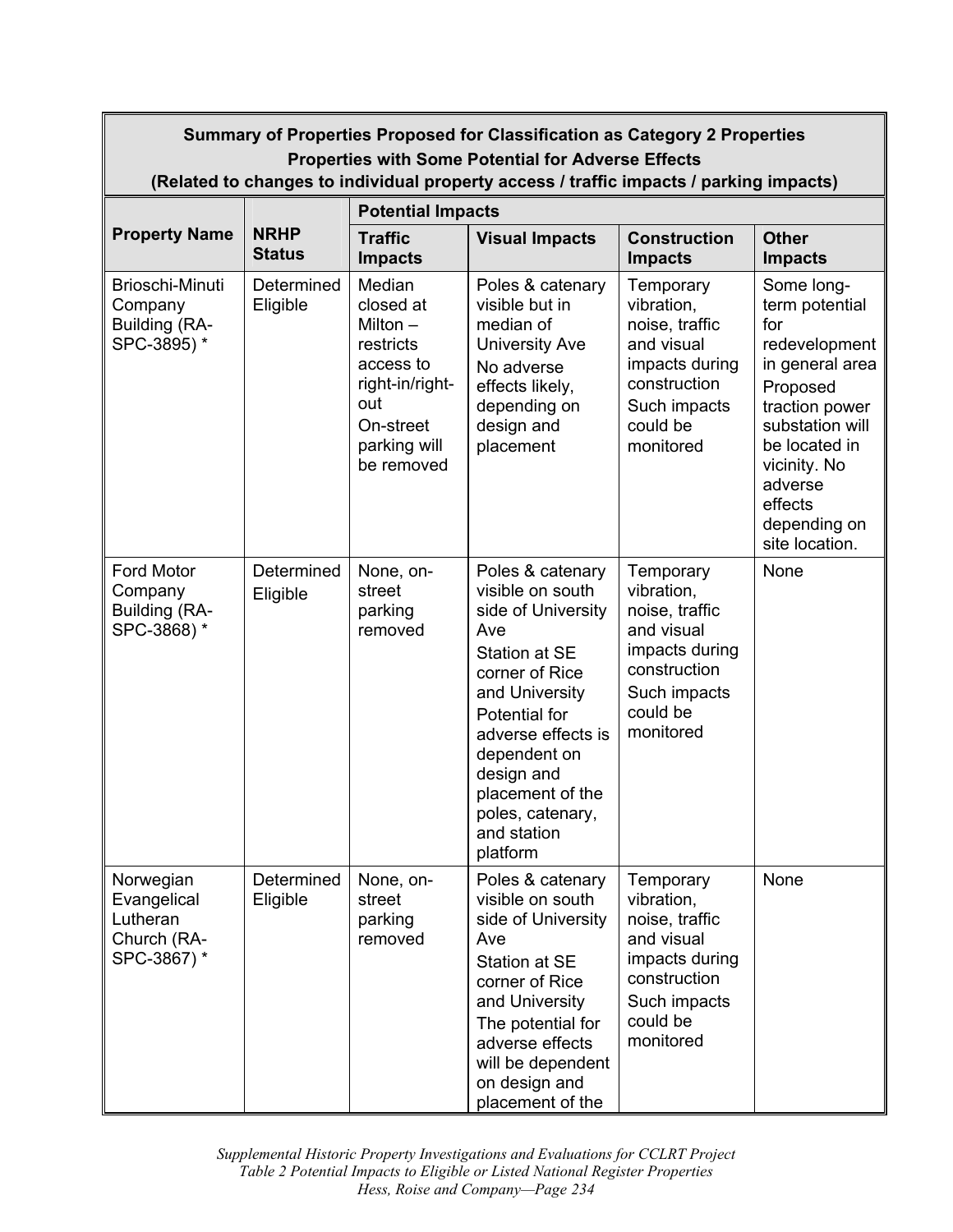| Summary of Properties Proposed for Classification as Category 2 Properties<br><b>Properties with Some Potential for Adverse Effects</b><br>(Related to changes to individual property access / traffic impacts / parking impacts) |                              |                                                                                                                                  |                                                                                                                                                                                                                                                                |                                                                                                                                    |                                                                                                                                                                                                                   |  |
|-----------------------------------------------------------------------------------------------------------------------------------------------------------------------------------------------------------------------------------|------------------------------|----------------------------------------------------------------------------------------------------------------------------------|----------------------------------------------------------------------------------------------------------------------------------------------------------------------------------------------------------------------------------------------------------------|------------------------------------------------------------------------------------------------------------------------------------|-------------------------------------------------------------------------------------------------------------------------------------------------------------------------------------------------------------------|--|
|                                                                                                                                                                                                                                   |                              | <b>Potential Impacts</b>                                                                                                         |                                                                                                                                                                                                                                                                |                                                                                                                                    |                                                                                                                                                                                                                   |  |
| <b>Property Name</b>                                                                                                                                                                                                              | <b>NRHP</b><br><b>Status</b> | <b>Traffic</b><br><b>Impacts</b>                                                                                                 | <b>Visual Impacts</b>                                                                                                                                                                                                                                          | <b>Construction</b><br><b>Impacts</b>                                                                                              | <b>Other</b><br><b>Impacts</b>                                                                                                                                                                                    |  |
| Brioschi-Minuti<br>Company<br>Building (RA-<br>SPC-3895)*                                                                                                                                                                         | Determined<br>Eligible       | Median<br>closed at<br>Milton $-$<br>restricts<br>access to<br>right-in/right-<br>out<br>On-street<br>parking will<br>be removed | Poles & catenary<br>visible but in<br>median of<br><b>University Ave</b><br>No adverse<br>effects likely,<br>depending on<br>design and<br>placement                                                                                                           | Temporary<br>vibration,<br>noise, traffic<br>and visual<br>impacts during<br>construction<br>Such impacts<br>could be<br>monitored | Some long-<br>term potential<br>for<br>redevelopment<br>in general area<br>Proposed<br>traction power<br>substation will<br>be located in<br>vicinity. No<br>adverse<br>effects<br>depending on<br>site location. |  |
| Ford Motor<br>Company<br>Building (RA-<br>SPC-3868)*                                                                                                                                                                              | Determined<br>Eligible       | None, on-<br>street<br>parking<br>removed                                                                                        | Poles & catenary<br>visible on south<br>side of University<br>Ave<br>Station at SE<br>corner of Rice<br>and University<br>Potential for<br>adverse effects is<br>dependent on<br>design and<br>placement of the<br>poles, catenary,<br>and station<br>platform | Temporary<br>vibration,<br>noise, traffic<br>and visual<br>impacts during<br>construction<br>Such impacts<br>could be<br>monitored | None                                                                                                                                                                                                              |  |
| Norwegian<br>Evangelical<br>Lutheran<br>Church (RA-<br>SPC-3867) *                                                                                                                                                                | Determined<br>Eligible       | None, on-<br>street<br>parking<br>removed                                                                                        | Poles & catenary<br>visible on south<br>side of University<br>Ave<br>Station at SE<br>corner of Rice<br>and University<br>The potential for<br>adverse effects<br>will be dependent<br>on design and<br>placement of the                                       | Temporary<br>vibration,<br>noise, traffic<br>and visual<br>impacts during<br>construction<br>Such impacts<br>could be<br>monitored | None                                                                                                                                                                                                              |  |

 *Supplemental Historic Property Investigations and Evaluations for CCLRT Project Hess, Roise and Company—Page 234 Table 2 Potential Impacts to Eligible or Listed National Register Properties*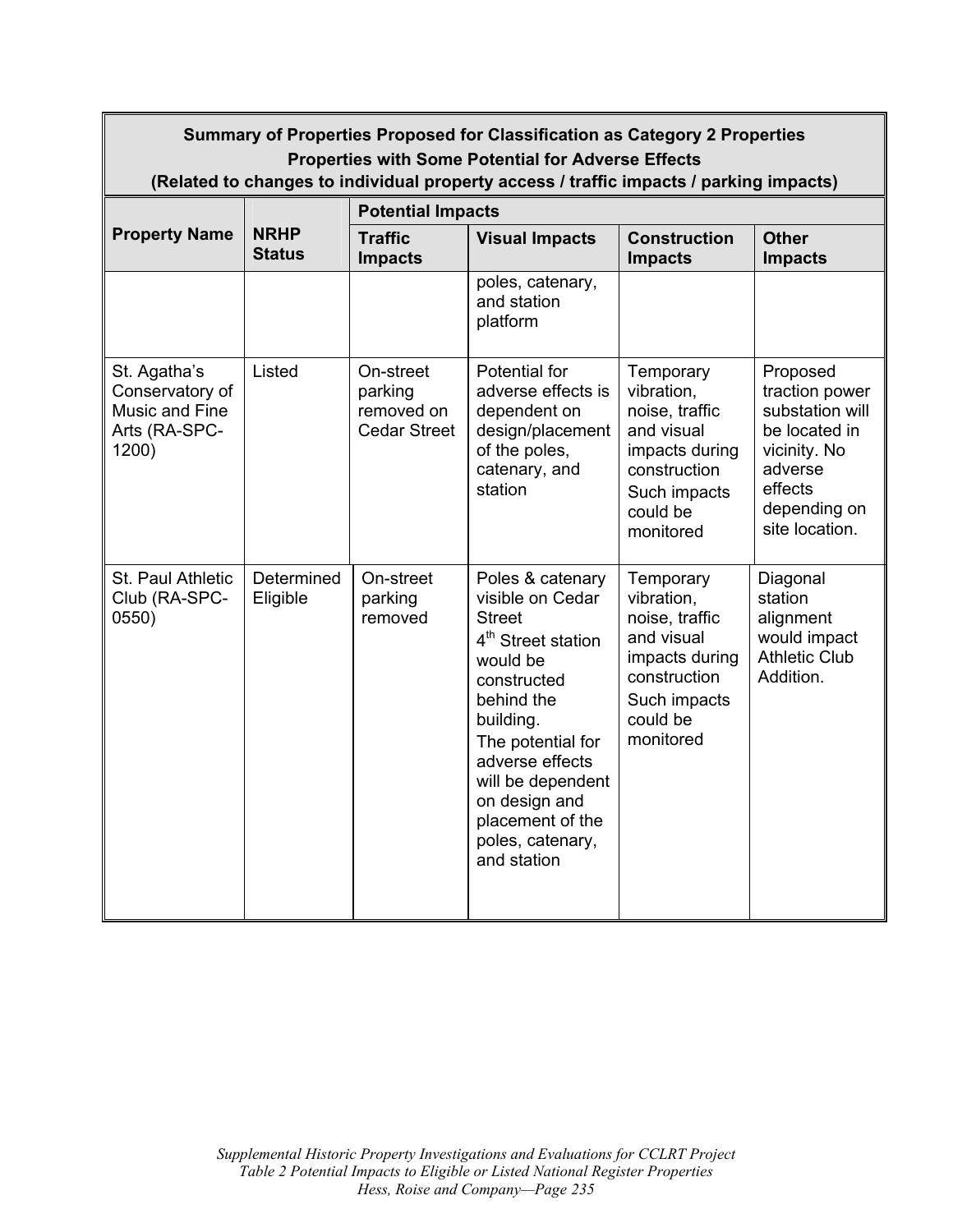| Summary of Properties Proposed for Classification as Category 2 Properties<br><b>Properties with Some Potential for Adverse Effects</b><br>(Related to changes to individual property access / traffic impacts / parking impacts) |                              |                                                           |                                                                                                                                                                                                                                                                                    |                                                                                                                                    |                                                                                                                                        |  |  |
|-----------------------------------------------------------------------------------------------------------------------------------------------------------------------------------------------------------------------------------|------------------------------|-----------------------------------------------------------|------------------------------------------------------------------------------------------------------------------------------------------------------------------------------------------------------------------------------------------------------------------------------------|------------------------------------------------------------------------------------------------------------------------------------|----------------------------------------------------------------------------------------------------------------------------------------|--|--|
|                                                                                                                                                                                                                                   |                              | <b>Potential Impacts</b>                                  |                                                                                                                                                                                                                                                                                    |                                                                                                                                    |                                                                                                                                        |  |  |
| <b>Property Name</b>                                                                                                                                                                                                              | <b>NRHP</b><br><b>Status</b> | <b>Traffic</b><br><b>Impacts</b>                          | <b>Visual Impacts</b>                                                                                                                                                                                                                                                              | <b>Construction</b><br><b>Impacts</b>                                                                                              | <b>Other</b><br><b>Impacts</b>                                                                                                         |  |  |
|                                                                                                                                                                                                                                   |                              |                                                           | poles, catenary,<br>and station<br>platform                                                                                                                                                                                                                                        |                                                                                                                                    |                                                                                                                                        |  |  |
| St. Agatha's<br>Conservatory of<br>Music and Fine<br>Arts (RA-SPC-<br>1200)                                                                                                                                                       | Listed                       | On-street<br>parking<br>removed on<br><b>Cedar Street</b> | Potential for<br>adverse effects is<br>dependent on<br>design/placement<br>of the poles,<br>catenary, and<br>station                                                                                                                                                               | Temporary<br>vibration,<br>noise, traffic<br>and visual<br>impacts during<br>construction<br>Such impacts<br>could be<br>monitored | Proposed<br>traction power<br>substation will<br>be located in<br>vicinity. No<br>adverse<br>effects<br>depending on<br>site location. |  |  |
| St. Paul Athletic<br>Club (RA-SPC-<br>0550)                                                                                                                                                                                       | Determined<br>Eligible       | On-street<br>parking<br>removed                           | Poles & catenary<br>visible on Cedar<br><b>Street</b><br>4 <sup>th</sup> Street station<br>would be<br>constructed<br>behind the<br>building.<br>The potential for<br>adverse effects<br>will be dependent<br>on design and<br>placement of the<br>poles, catenary,<br>and station | Temporary<br>vibration,<br>noise, traffic<br>and visual<br>impacts during<br>construction<br>Such impacts<br>could be<br>monitored | Diagonal<br>station<br>alignment<br>would impact<br><b>Athletic Club</b><br>Addition.                                                  |  |  |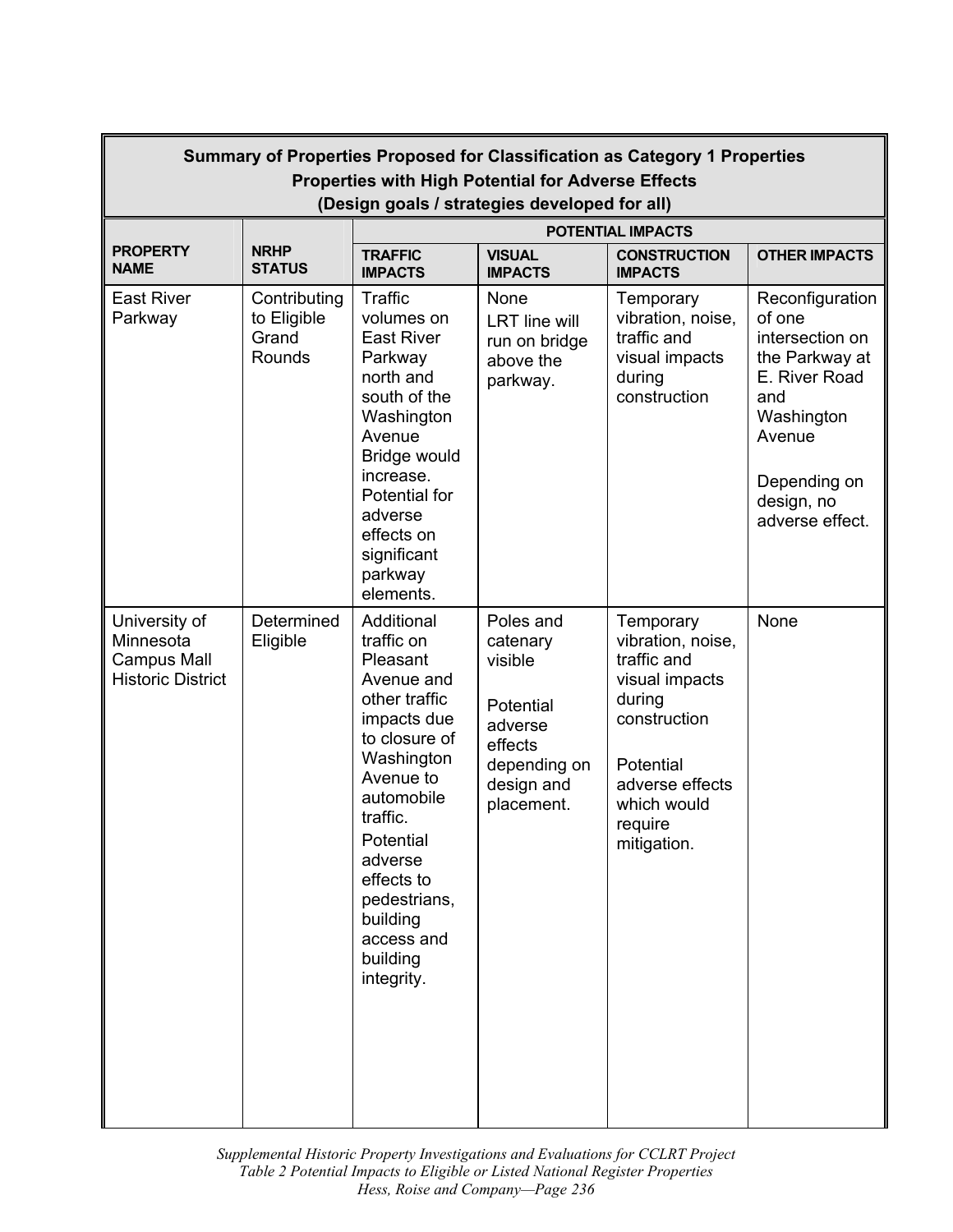| Summary of Properties Proposed for Classification as Category 1 Properties<br><b>Properties with High Potential for Adverse Effects</b><br>(Design goals / strategies developed for all) |                                                |                                                                                                                                                                                                                                                                    |                                                                                                                 |                                                                                                                                                                    |                                                                                                                                                                 |  |
|------------------------------------------------------------------------------------------------------------------------------------------------------------------------------------------|------------------------------------------------|--------------------------------------------------------------------------------------------------------------------------------------------------------------------------------------------------------------------------------------------------------------------|-----------------------------------------------------------------------------------------------------------------|--------------------------------------------------------------------------------------------------------------------------------------------------------------------|-----------------------------------------------------------------------------------------------------------------------------------------------------------------|--|
|                                                                                                                                                                                          |                                                | POTENTIAL IMPACTS                                                                                                                                                                                                                                                  |                                                                                                                 |                                                                                                                                                                    |                                                                                                                                                                 |  |
| <b>PROPERTY</b><br><b>NAME</b>                                                                                                                                                           | <b>NRHP</b><br><b>STATUS</b>                   | <b>TRAFFIC</b><br><b>IMPACTS</b>                                                                                                                                                                                                                                   | <b>VISUAL</b><br><b>IMPACTS</b>                                                                                 | <b>CONSTRUCTION</b><br><b>IMPACTS</b>                                                                                                                              | <b>OTHER IMPACTS</b>                                                                                                                                            |  |
| <b>East River</b><br>Parkway                                                                                                                                                             | Contributing<br>to Eligible<br>Grand<br>Rounds | Traffic<br>volumes on<br><b>East River</b><br>Parkway<br>north and<br>south of the<br>Washington<br>Avenue<br>Bridge would<br>increase.<br>Potential for<br>adverse<br>effects on<br>significant<br>parkway<br>elements.                                           | None<br><b>LRT</b> line will<br>run on bridge<br>above the<br>parkway.                                          | Temporary<br>vibration, noise,<br>traffic and<br>visual impacts<br>during<br>construction                                                                          | Reconfiguration<br>of one<br>intersection on<br>the Parkway at<br>E. River Road<br>and<br>Washington<br>Avenue<br>Depending on<br>design, no<br>adverse effect. |  |
| University of<br>Minnesota<br><b>Campus Mall</b><br><b>Historic District</b>                                                                                                             | Determined<br>Eligible                         | Additional<br>traffic on<br>Pleasant<br>Avenue and<br>other traffic<br>impacts due<br>to closure of<br>Washington<br>Avenue to<br>automobile<br>traffic.<br>Potential<br>adverse<br>effects to<br>pedestrians,<br>building<br>access and<br>building<br>integrity. | Poles and<br>catenary<br>visible<br>Potential<br>adverse<br>effects<br>depending on<br>design and<br>placement. | Temporary<br>vibration, noise,<br>traffic and<br>visual impacts<br>during<br>construction<br>Potential<br>adverse effects<br>which would<br>require<br>mitigation. | None                                                                                                                                                            |  |

 *Supplemental Historic Property Investigations and Evaluations for CCLRT Project Hess, Roise and Company—Page 236 Table 2 Potential Impacts to Eligible or Listed National Register Properties*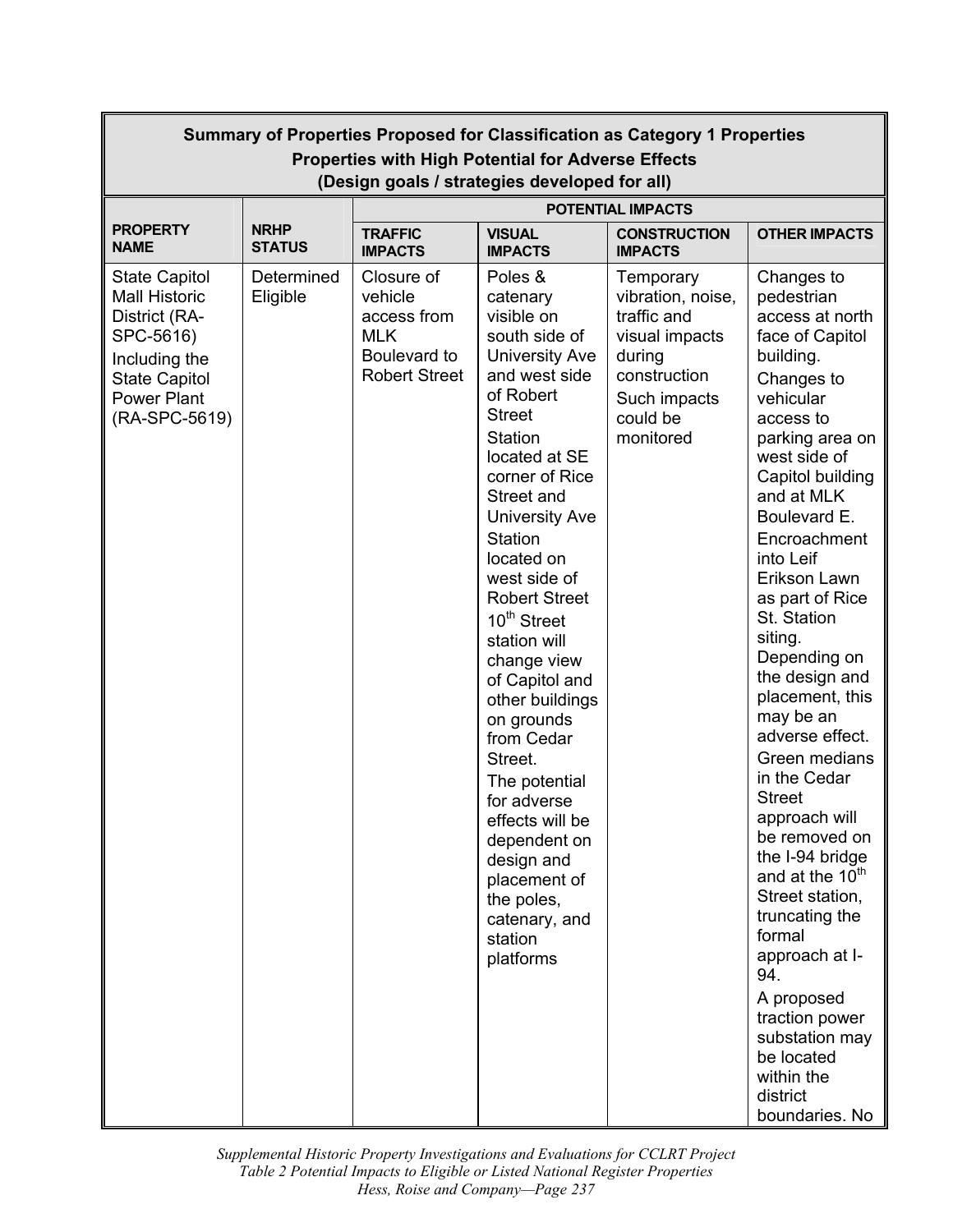| Summary of Properties Proposed for Classification as Category 1 Properties<br><b>Properties with High Potential for Adverse Effects</b>                    |                                               |                                                                                            |                                                                                                                                                                                                                                                                                                                                                                                                                                                                                                                                                                                              |                                                                                                                                    |                                                                                                                                                                                                                                                                                                                                                                                                                                                                                                                                                                                                                                                                                                                   |
|------------------------------------------------------------------------------------------------------------------------------------------------------------|-----------------------------------------------|--------------------------------------------------------------------------------------------|----------------------------------------------------------------------------------------------------------------------------------------------------------------------------------------------------------------------------------------------------------------------------------------------------------------------------------------------------------------------------------------------------------------------------------------------------------------------------------------------------------------------------------------------------------------------------------------------|------------------------------------------------------------------------------------------------------------------------------------|-------------------------------------------------------------------------------------------------------------------------------------------------------------------------------------------------------------------------------------------------------------------------------------------------------------------------------------------------------------------------------------------------------------------------------------------------------------------------------------------------------------------------------------------------------------------------------------------------------------------------------------------------------------------------------------------------------------------|
|                                                                                                                                                            | (Design goals / strategies developed for all) |                                                                                            |                                                                                                                                                                                                                                                                                                                                                                                                                                                                                                                                                                                              |                                                                                                                                    |                                                                                                                                                                                                                                                                                                                                                                                                                                                                                                                                                                                                                                                                                                                   |
| <b>PROPERTY</b><br><b>NAME</b>                                                                                                                             | <b>NRHP</b><br><b>STATUS</b>                  | <b>TRAFFIC</b><br><b>IMPACTS</b>                                                           | <b>VISUAL</b><br><b>IMPACTS</b>                                                                                                                                                                                                                                                                                                                                                                                                                                                                                                                                                              | <b>POTENTIAL IMPACTS</b><br><b>CONSTRUCTION</b><br><b>IMPACTS</b>                                                                  | <b>OTHER IMPACTS</b>                                                                                                                                                                                                                                                                                                                                                                                                                                                                                                                                                                                                                                                                                              |
| <b>State Capitol</b><br><b>Mall Historic</b><br>District (RA-<br>SPC-5616)<br>Including the<br><b>State Capitol</b><br><b>Power Plant</b><br>(RA-SPC-5619) | Determined<br>Eligible                        | Closure of<br>vehicle<br>access from<br><b>MLK</b><br>Boulevard to<br><b>Robert Street</b> | Poles &<br>catenary<br>visible on<br>south side of<br><b>University Ave</b><br>and west side<br>of Robert<br><b>Street</b><br><b>Station</b><br>located at SE<br>corner of Rice<br>Street and<br><b>University Ave</b><br><b>Station</b><br>located on<br>west side of<br><b>Robert Street</b><br>10 <sup>th</sup> Street<br>station will<br>change view<br>of Capitol and<br>other buildings<br>on grounds<br>from Cedar<br>Street.<br>The potential<br>for adverse<br>effects will be<br>dependent on<br>design and<br>placement of<br>the poles,<br>catenary, and<br>station<br>platforms | Temporary<br>vibration, noise,<br>traffic and<br>visual impacts<br>during<br>construction<br>Such impacts<br>could be<br>monitored | Changes to<br>pedestrian<br>access at north<br>face of Capitol<br>building.<br>Changes to<br>vehicular<br>access to<br>parking area on<br>west side of<br>Capitol building<br>and at MLK<br>Boulevard E.<br>Encroachment<br>into Leif<br>Erikson Lawn<br>as part of Rice<br>St. Station<br>siting.<br>Depending on<br>the design and<br>placement, this<br>may be an<br>adverse effect.<br>Green medians<br>in the Cedar<br><b>Street</b><br>approach will<br>be removed on<br>the I-94 bridge<br>and at the 10 <sup>th</sup><br>Street station,<br>truncating the<br>formal<br>approach at I-<br>94.<br>A proposed<br>traction power<br>substation may<br>be located<br>within the<br>district<br>boundaries. No |

 *Supplemental Historic Property Investigations and Evaluations for CCLRT Project Hess, Roise and Company—Page 237 Table 2 Potential Impacts to Eligible or Listed National Register Properties*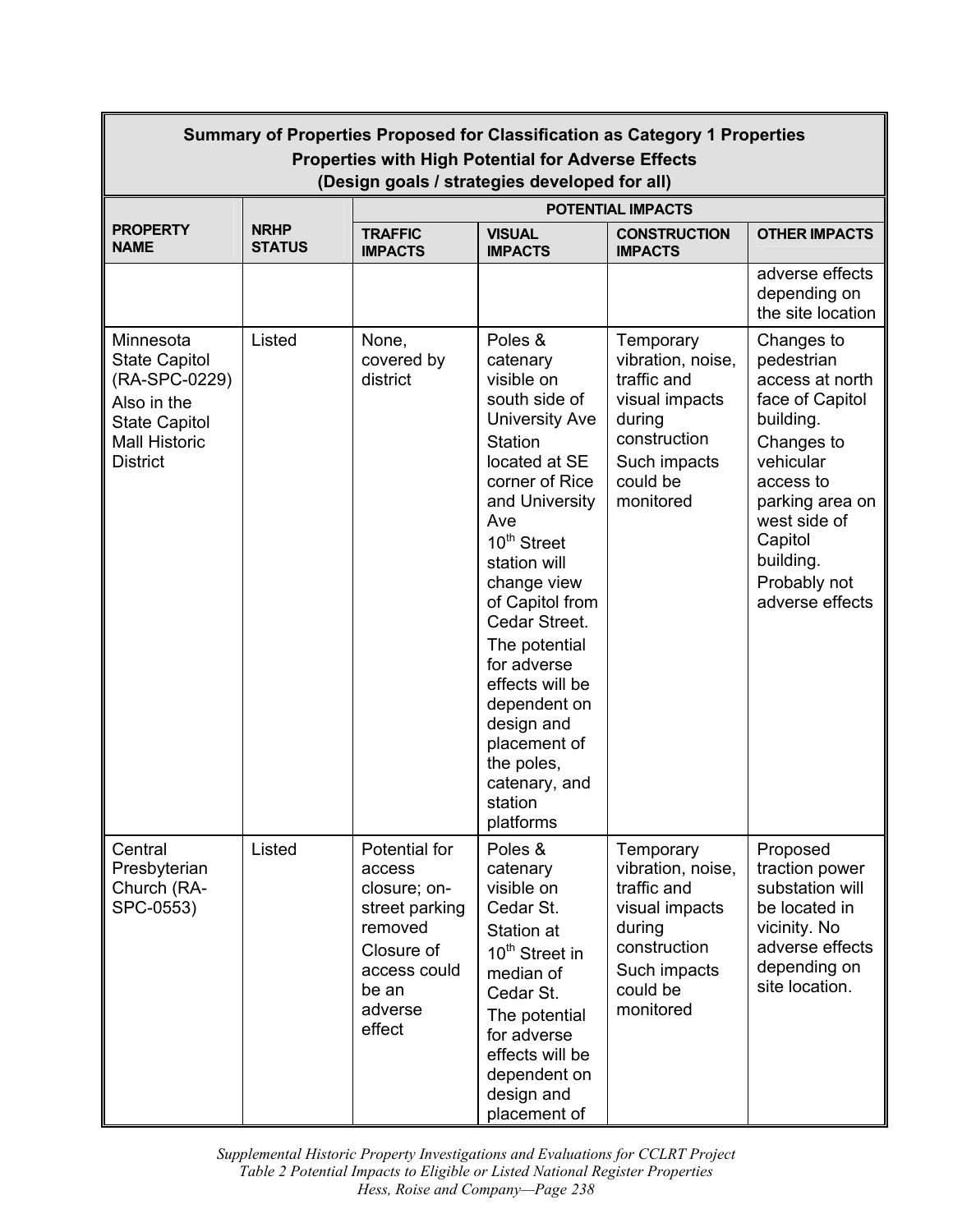| Summary of Properties Proposed for Classification as Category 1 Properties<br><b>Properties with High Potential for Adverse Effects</b><br>(Design goals / strategies developed for all) |                              |                                                                                                                                  |                                                                                                                                                                                                                                                                                                                                                                                                                 |                                                                                                                                    |                                                                                                                                                                                                                   |  |
|------------------------------------------------------------------------------------------------------------------------------------------------------------------------------------------|------------------------------|----------------------------------------------------------------------------------------------------------------------------------|-----------------------------------------------------------------------------------------------------------------------------------------------------------------------------------------------------------------------------------------------------------------------------------------------------------------------------------------------------------------------------------------------------------------|------------------------------------------------------------------------------------------------------------------------------------|-------------------------------------------------------------------------------------------------------------------------------------------------------------------------------------------------------------------|--|
|                                                                                                                                                                                          |                              | <b>POTENTIAL IMPACTS</b>                                                                                                         |                                                                                                                                                                                                                                                                                                                                                                                                                 |                                                                                                                                    |                                                                                                                                                                                                                   |  |
| <b>PROPERTY</b><br><b>NAME</b>                                                                                                                                                           | <b>NRHP</b><br><b>STATUS</b> | <b>TRAFFIC</b><br><b>IMPACTS</b>                                                                                                 | <b>VISUAL</b><br><b>IMPACTS</b>                                                                                                                                                                                                                                                                                                                                                                                 | <b>CONSTRUCTION</b><br><b>IMPACTS</b>                                                                                              | <b>OTHER IMPACTS</b>                                                                                                                                                                                              |  |
|                                                                                                                                                                                          |                              |                                                                                                                                  |                                                                                                                                                                                                                                                                                                                                                                                                                 |                                                                                                                                    | adverse effects<br>depending on<br>the site location                                                                                                                                                              |  |
| Minnesota<br><b>State Capitol</b><br>(RA-SPC-0229)<br>Also in the<br><b>State Capitol</b><br><b>Mall Historic</b><br><b>District</b>                                                     | Listed                       | None,<br>covered by<br>district                                                                                                  | Poles &<br>catenary<br>visible on<br>south side of<br><b>University Ave</b><br><b>Station</b><br>located at SE<br>corner of Rice<br>and University<br>Ave<br>10 <sup>th</sup> Street<br>station will<br>change view<br>of Capitol from<br>Cedar Street.<br>The potential<br>for adverse<br>effects will be<br>dependent on<br>design and<br>placement of<br>the poles,<br>catenary, and<br>station<br>platforms | Temporary<br>vibration, noise,<br>traffic and<br>visual impacts<br>during<br>construction<br>Such impacts<br>could be<br>monitored | Changes to<br>pedestrian<br>access at north<br>face of Capitol<br>building.<br>Changes to<br>vehicular<br>access to<br>parking area on<br>west side of<br>Capitol<br>building.<br>Probably not<br>adverse effects |  |
| Central<br>Presbyterian<br>Church (RA-<br>SPC-0553)                                                                                                                                      | Listed                       | Potential for<br>access<br>closure; on-<br>street parking<br>removed<br>Closure of<br>access could<br>be an<br>adverse<br>effect | Poles &<br>catenary<br>visible on<br>Cedar St.<br>Station at<br>10 <sup>th</sup> Street in<br>median of<br>Cedar St.<br>The potential<br>for adverse<br>effects will be<br>dependent on<br>design and<br>placement of                                                                                                                                                                                           | Temporary<br>vibration, noise,<br>traffic and<br>visual impacts<br>during<br>construction<br>Such impacts<br>could be<br>monitored | Proposed<br>traction power<br>substation will<br>be located in<br>vicinity. No<br>adverse effects<br>depending on<br>site location.                                                                               |  |

 *Supplemental Historic Property Investigations and Evaluations for CCLRT Project Hess, Roise and Company—Page 238 Table 2 Potential Impacts to Eligible or Listed National Register Properties*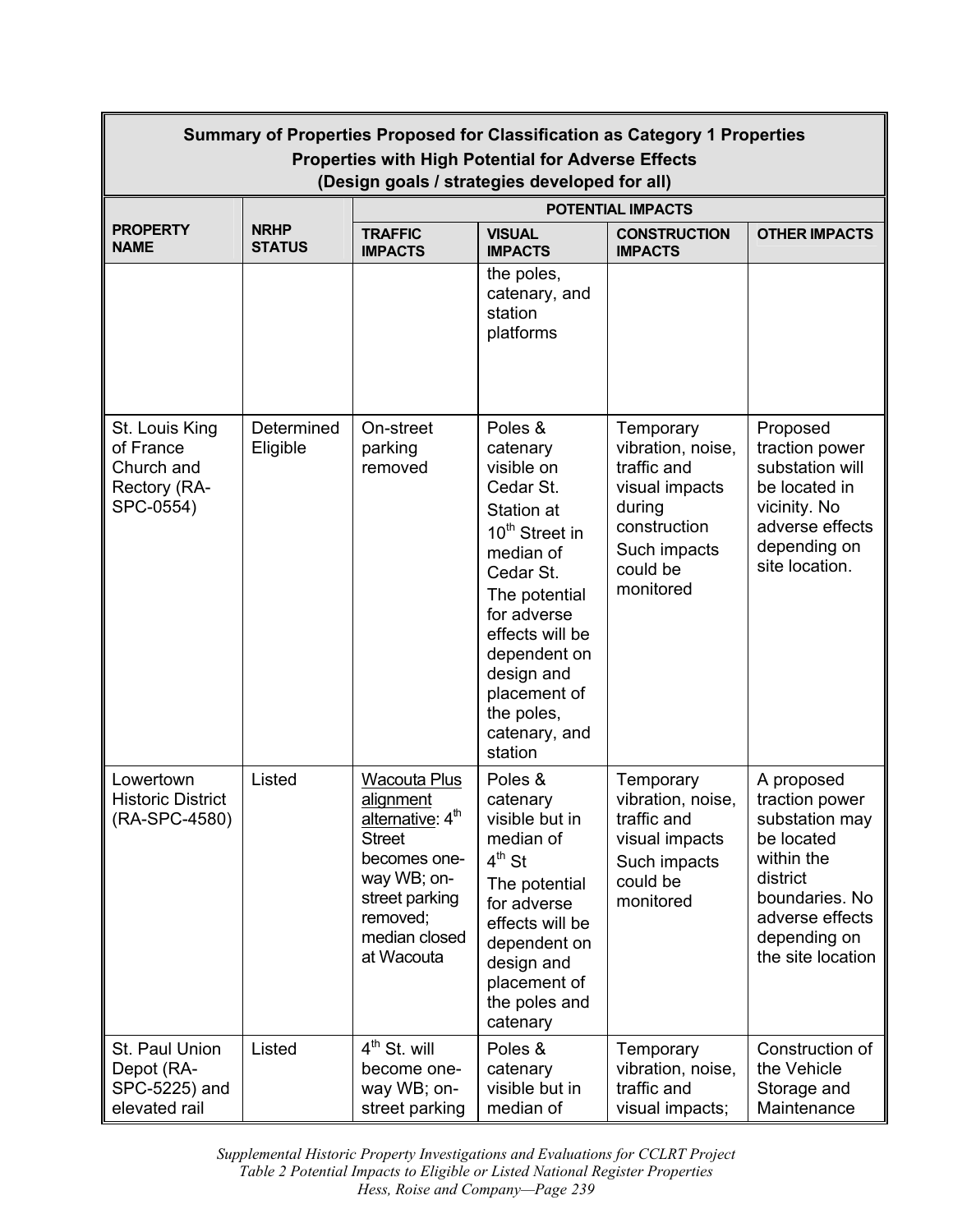| Summary of Properties Proposed for Classification as Category 1 Properties                                 |                              |                                                                                                                                                                               |                                                                                                                                                                                                                                                                 |                                                                                                                                    |                                                                                                                                                                  |  |
|------------------------------------------------------------------------------------------------------------|------------------------------|-------------------------------------------------------------------------------------------------------------------------------------------------------------------------------|-----------------------------------------------------------------------------------------------------------------------------------------------------------------------------------------------------------------------------------------------------------------|------------------------------------------------------------------------------------------------------------------------------------|------------------------------------------------------------------------------------------------------------------------------------------------------------------|--|
| <b>Properties with High Potential for Adverse Effects</b><br>(Design goals / strategies developed for all) |                              |                                                                                                                                                                               |                                                                                                                                                                                                                                                                 |                                                                                                                                    |                                                                                                                                                                  |  |
|                                                                                                            |                              | <b>POTENTIAL IMPACTS</b>                                                                                                                                                      |                                                                                                                                                                                                                                                                 |                                                                                                                                    |                                                                                                                                                                  |  |
| <b>PROPERTY</b><br><b>NAME</b>                                                                             | <b>NRHP</b><br><b>STATUS</b> | <b>TRAFFIC</b><br><b>IMPACTS</b>                                                                                                                                              | <b>VISUAL</b><br><b>IMPACTS</b>                                                                                                                                                                                                                                 | <b>CONSTRUCTION</b><br><b>IMPACTS</b>                                                                                              | <b>OTHER IMPACTS</b>                                                                                                                                             |  |
|                                                                                                            |                              |                                                                                                                                                                               | the poles,<br>catenary, and<br>station<br>platforms                                                                                                                                                                                                             |                                                                                                                                    |                                                                                                                                                                  |  |
| St. Louis King<br>of France<br>Church and<br>Rectory (RA-<br>SPC-0554)                                     | Determined<br>Eligible       | On-street<br>parking<br>removed                                                                                                                                               | Poles &<br>catenary<br>visible on<br>Cedar St.<br>Station at<br>10 <sup>th</sup> Street in<br>median of<br>Cedar St.<br>The potential<br>for adverse<br>effects will be<br>dependent on<br>design and<br>placement of<br>the poles,<br>catenary, and<br>station | Temporary<br>vibration, noise,<br>traffic and<br>visual impacts<br>during<br>construction<br>Such impacts<br>could be<br>monitored | Proposed<br>traction power<br>substation will<br>be located in<br>vicinity. No<br>adverse effects<br>depending on<br>site location.                              |  |
| Lowertown<br><b>Historic District</b><br>(RA-SPC-4580)                                                     | Listed                       | <b>Wacouta Plus</b><br>alignment<br>alternative: 4 <sup>th</sup><br><b>Street</b><br>becomes one-<br>way WB; on-<br>street parking<br>removed;<br>median closed<br>at Wacouta | Poles &<br>catenary<br>visible but in<br>median of<br>$4th$ St<br>The potential<br>for adverse<br>effects will be<br>dependent on<br>design and<br>placement of<br>the poles and<br>catenary                                                                    | Temporary<br>vibration, noise,<br>traffic and<br>visual impacts<br>Such impacts<br>could be<br>monitored                           | A proposed<br>traction power<br>substation may<br>be located<br>within the<br>district<br>boundaries. No<br>adverse effects<br>depending on<br>the site location |  |
| St. Paul Union<br>Depot (RA-<br>SPC-5225) and<br>elevated rail                                             | Listed                       | $4th$ St. will<br>become one-<br>way WB; on-<br>street parking                                                                                                                | Poles &<br>catenary<br>visible but in<br>median of                                                                                                                                                                                                              | Temporary<br>vibration, noise,<br>traffic and<br>visual impacts;                                                                   | Construction of<br>the Vehicle<br>Storage and<br>Maintenance                                                                                                     |  |

 *Supplemental Historic Property Investigations and Evaluations for CCLRT Project*  $\overline{a}$ *Table 2 Potential Impacts to Eligible or Listed National Register Properties Hess, Roise and Company—Page 239*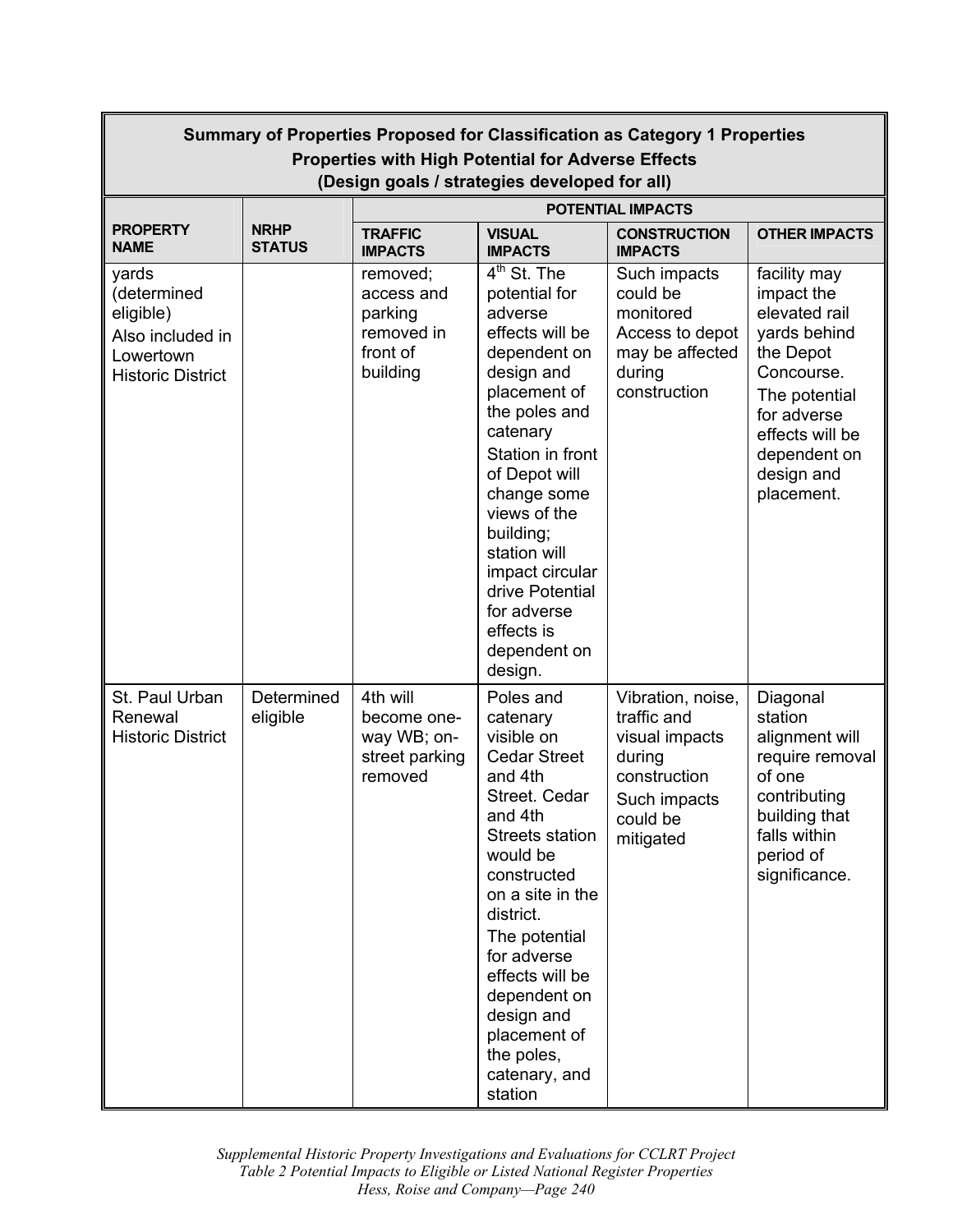| Summary of Properties Proposed for Classification as Category 1 Properties<br><b>Properties with High Potential for Adverse Effects</b> |                                                                           |                                                                         |                                                                                                                                                                                                                                                                                                                                        |                                                                                                                       |                                                                                                                                                                                       |  |
|-----------------------------------------------------------------------------------------------------------------------------------------|---------------------------------------------------------------------------|-------------------------------------------------------------------------|----------------------------------------------------------------------------------------------------------------------------------------------------------------------------------------------------------------------------------------------------------------------------------------------------------------------------------------|-----------------------------------------------------------------------------------------------------------------------|---------------------------------------------------------------------------------------------------------------------------------------------------------------------------------------|--|
|                                                                                                                                         | (Design goals / strategies developed for all)<br><b>POTENTIAL IMPACTS</b> |                                                                         |                                                                                                                                                                                                                                                                                                                                        |                                                                                                                       |                                                                                                                                                                                       |  |
| <b>PROPERTY</b><br><b>NAME</b>                                                                                                          | <b>NRHP</b><br><b>STATUS</b>                                              | <b>TRAFFIC</b><br><b>IMPACTS</b>                                        | <b>VISUAL</b><br><b>IMPACTS</b>                                                                                                                                                                                                                                                                                                        | <b>CONSTRUCTION</b><br><b>IMPACTS</b>                                                                                 | <b>OTHER IMPACTS</b>                                                                                                                                                                  |  |
| yards<br>(determined<br>eligible)<br>Also included in<br>Lowertown<br><b>Historic District</b>                                          |                                                                           | removed;<br>access and<br>parking<br>removed in<br>front of<br>building | $4th$ St. The<br>potential for<br>adverse<br>effects will be<br>dependent on<br>design and<br>placement of<br>the poles and<br>catenary<br>Station in front<br>of Depot will<br>change some<br>views of the<br>building;<br>station will<br>impact circular<br>drive Potential<br>for adverse<br>effects is<br>dependent on<br>design. | Such impacts<br>could be<br>monitored<br>Access to depot<br>may be affected<br>during<br>construction                 | facility may<br>impact the<br>elevated rail<br>yards behind<br>the Depot<br>Concourse.<br>The potential<br>for adverse<br>effects will be<br>dependent on<br>design and<br>placement. |  |
| St. Paul Urban<br>Renewal<br><b>Historic District</b>                                                                                   | Determined<br>eligible                                                    | 4th will<br>become one-<br>way WB; on-<br>street parking<br>removed     | Poles and<br>catenary<br>visible on<br><b>Cedar Street</b><br>and 4th<br>Street. Cedar<br>and 4th<br><b>Streets station</b><br>would be<br>constructed<br>on a site in the<br>district.<br>The potential<br>for adverse<br>effects will be<br>dependent on<br>design and<br>placement of<br>the poles,<br>catenary, and<br>station     | Vibration, noise,<br>traffic and<br>visual impacts<br>during<br>construction<br>Such impacts<br>could be<br>mitigated | Diagonal<br>station<br>alignment will<br>require removal<br>of one<br>contributing<br>building that<br>falls within<br>period of<br>significance.                                     |  |

 *Supplemental Historic Property Investigations and Evaluations for CCLRT Project Hess, Roise and Company—Page 240 Table 2 Potential Impacts to Eligible or Listed National Register Properties*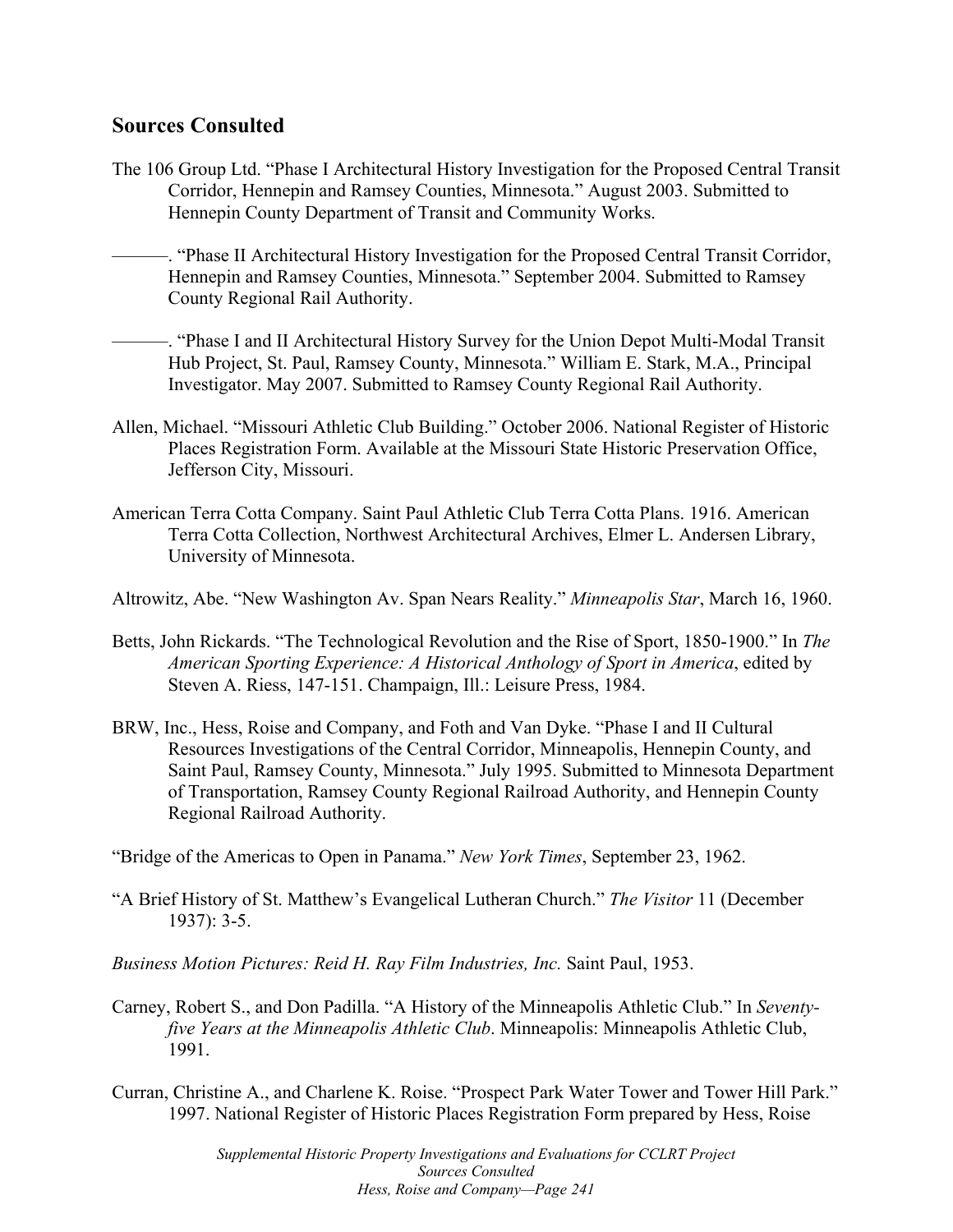## **Sources Consulted**

- The 106 Group Ltd. "Phase I Architectural History Investigation for the Proposed Central Transit Corridor, Hennepin and Ramsey Counties, Minnesota." August 2003. Submitted to Hennepin County Department of Transit and Community Works.
- ———. "Phase II Architectural History Investigation for the Proposed Central Transit Corridor, Hennepin and Ramsey Counties, Minnesota." September 2004. Submitted to Ramsey County Regional Rail Authority.
- ———. "Phase I and II Architectural History Survey for the Union Depot Multi-Modal Transit Hub Project, St. Paul, Ramsey County, Minnesota." William E. Stark, M.A., Principal Investigator. May 2007. Submitted to Ramsey County Regional Rail Authority.
- Allen, Michael. "Missouri Athletic Club Building." October 2006. National Register of Historic Places Registration Form. Available at the Missouri State Historic Preservation Office, Jefferson City, Missouri.
- American Terra Cotta Company. Saint Paul Athletic Club Terra Cotta Plans. 1916. American Terra Cotta Collection, Northwest Architectural Archives, Elmer L. Andersen Library, University of Minnesota.

Altrowitz, Abe. "New Washington Av. Span Nears Reality." *Minneapolis Star*, March 16, 1960.

- Betts, John Rickards. "The Technological Revolution and the Rise of Sport, 1850-1900." In *The American Sporting Experience: A Historical Anthology of Sport in America*, edited by Steven A. Riess, 147-151. Champaign, Ill.: Leisure Press, 1984.
- BRW, Inc., Hess, Roise and Company, and Foth and Van Dyke. "Phase I and II Cultural Resources Investigations of the Central Corridor, Minneapolis, Hennepin County, and Saint Paul, Ramsey County, Minnesota." July 1995. Submitted to Minnesota Department of Transportation, Ramsey County Regional Railroad Authority, and Hennepin County Regional Railroad Authority.

"Bridge of the Americas to Open in Panama." *New York Times*, September 23, 1962.

- "A Brief History of St. Matthew's Evangelical Lutheran Church." *The Visitor* 11 (December 1937): 3-5.
- *Business Motion Pictures: Reid H. Ray Film Industries, Inc.* Saint Paul, 1953.
- Carney, Robert S., and Don Padilla. "A History of the Minneapolis Athletic Club." In *Seventyfive Years at the Minneapolis Athletic Club*. Minneapolis: Minneapolis Athletic Club, 1991.
- Curran, Christine A., and Charlene K. Roise. "Prospect Park Water Tower and Tower Hill Park." 1997. National Register of Historic Places Registration Form prepared by Hess, Roise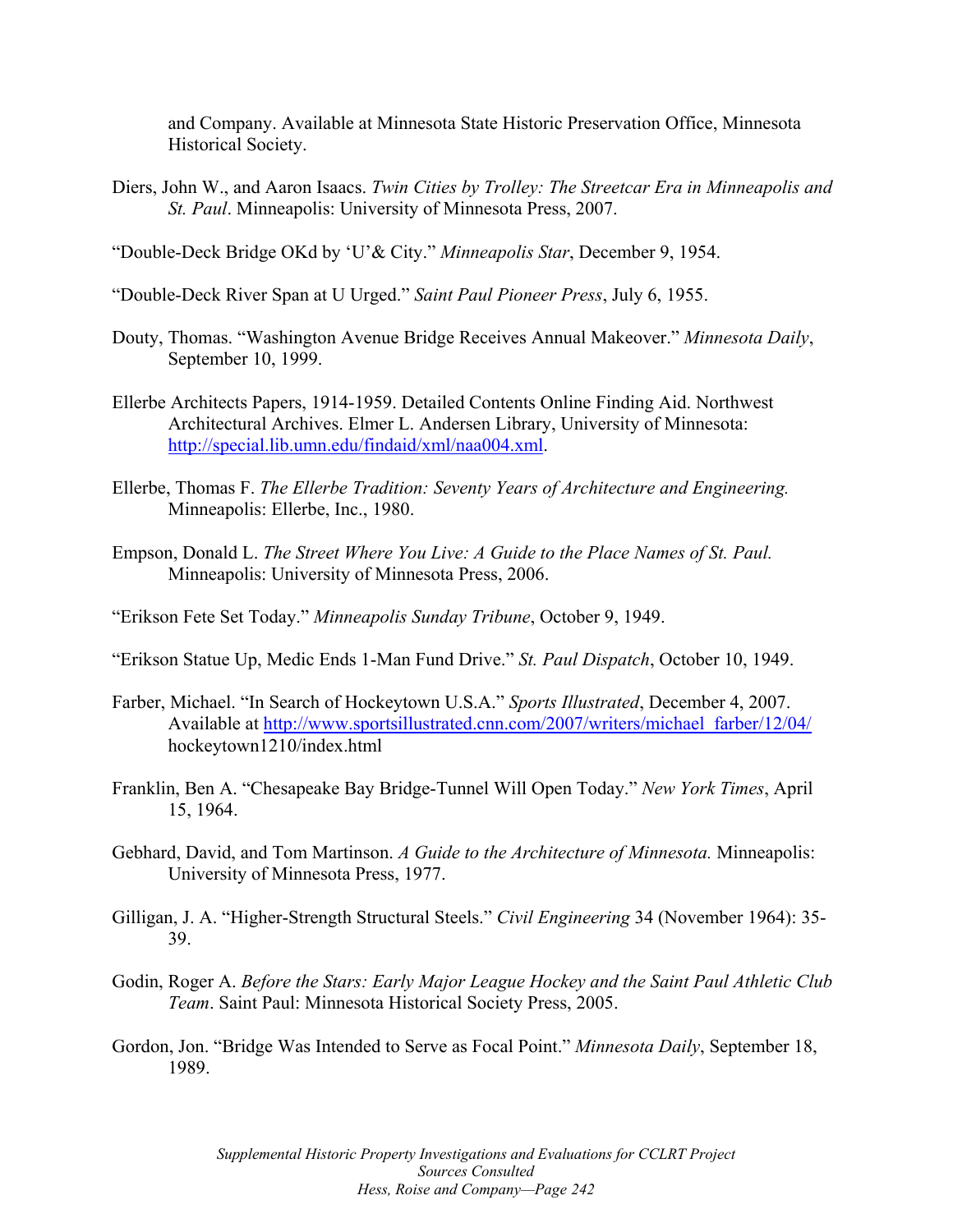and Company. Available at Minnesota State Historic Preservation Office, Minnesota Historical Society.

Diers, John W., and Aaron Isaacs. *Twin Cities by Trolley: The Streetcar Era in Minneapolis and St. Paul*. Minneapolis: University of Minnesota Press, 2007.

"Double-Deck Bridge OKd by 'U'& City." *Minneapolis Star*, December 9, 1954.

- "Double-Deck River Span at U Urged." *Saint Paul Pioneer Press*, July 6, 1955.
- Douty, Thomas. "Washington Avenue Bridge Receives Annual Makeover." *Minnesota Daily*, September 10, 1999.
- Ellerbe Architects Papers, 1914-1959. Detailed Contents Online Finding Aid. Northwest Architectural Archives. Elmer L. Andersen Library, University of Minnesota: http://special.lib.umn.edu/findaid/xml/naa004.xml.
- Ellerbe, Thomas F. *The Ellerbe Tradition: Seventy Years of Architecture and Engineering.*  Minneapolis: Ellerbe, Inc., 1980.
- Empson, Donald L. *The Street Where You Live: A Guide to the Place Names of St. Paul.*  Minneapolis: University of Minnesota Press, 2006.
- "Erikson Fete Set Today." *Minneapolis Sunday Tribune*, October 9, 1949.
- "Erikson Statue Up, Medic Ends 1-Man Fund Drive." *St. Paul Dispatch*, October 10, 1949.
- Farber, Michael. "In Search of Hockeytown U.S.A." *Sports Illustrated*, December 4, 2007. Available at http://www.sportsillustrated.cnn.com/2007/writers/michael\_farber/12/04/ hockeytown1210/index.html
- Franklin, Ben A. "Chesapeake Bay Bridge-Tunnel Will Open Today." *New York Times*, April 15, 1964.
- Gebhard, David, and Tom Martinson. *A Guide to the Architecture of Minnesota.* Minneapolis: University of Minnesota Press, 1977.
- Gilligan, J. A. "Higher-Strength Structural Steels." *Civil Engineering* 34 (November 1964): 35- 39.
- Godin, Roger A. *Before the Stars: Early Major League Hockey and the Saint Paul Athletic Club Team*. Saint Paul: Minnesota Historical Society Press, 2005.
- Gordon, Jon. "Bridge Was Intended to Serve as Focal Point." *Minnesota Daily*, September 18, 1989.

 *Supplemental Historic Property Investigations and Evaluations for CCLRT Project Hess, Roise and Company—Page 242 Sources Consulted*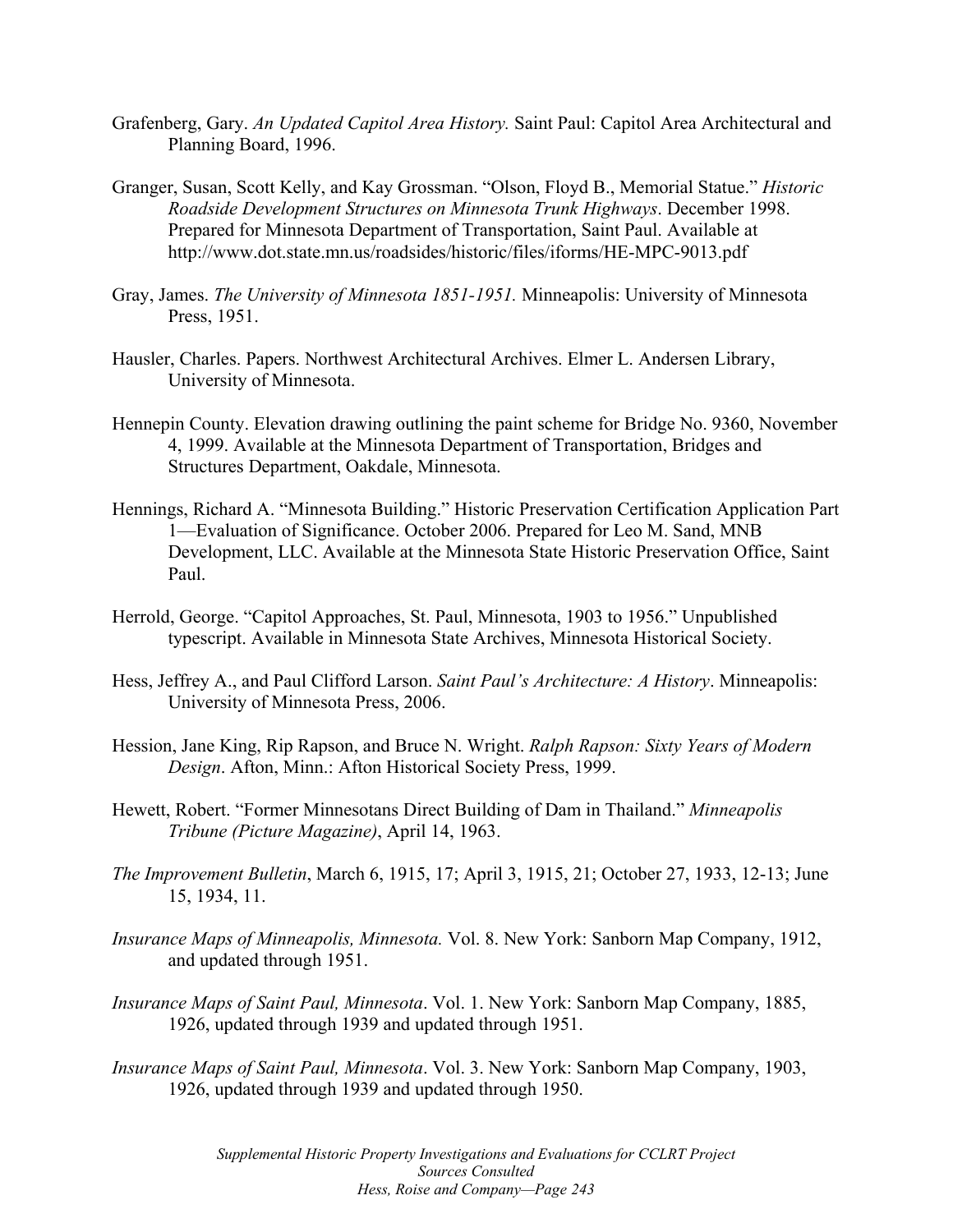- Grafenberg, Gary. *An Updated Capitol Area History.* Saint Paul: Capitol Area Architectural and Planning Board, 1996.
- Granger, Susan, Scott Kelly, and Kay Grossman. "Olson, Floyd B., Memorial Statue." *Historic Roadside Development Structures on Minnesota Trunk Highways*. December 1998. Prepared for Minnesota Department of Transportation, Saint Paul. Available at http://www.dot.state.mn.us/roadsides/historic/files/iforms/HE-MPC-9013.pdf
- Gray, James. *The University of Minnesota 1851-1951.* Minneapolis: University of Minnesota Press, 1951.
- Hausler, Charles. Papers. Northwest Architectural Archives. Elmer L. Andersen Library, University of Minnesota.
- Hennepin County. Elevation drawing outlining the paint scheme for Bridge No. 9360, November 4, 1999. Available at the Minnesota Department of Transportation, Bridges and Structures Department, Oakdale, Minnesota.
- Hennings, Richard A. "Minnesota Building." Historic Preservation Certification Application Part 1—Evaluation of Significance. October 2006. Prepared for Leo M. Sand, MNB Development, LLC. Available at the Minnesota State Historic Preservation Office, Saint Paul.
- Herrold, George. "Capitol Approaches, St. Paul, Minnesota, 1903 to 1956." Unpublished typescript. Available in Minnesota State Archives, Minnesota Historical Society.
- Hess, Jeffrey A., and Paul Clifford Larson. *Saint Paul's Architecture: A History*. Minneapolis: University of Minnesota Press, 2006.
- Hession, Jane King, Rip Rapson, and Bruce N. Wright. *Ralph Rapson: Sixty Years of Modern Design*. Afton, Minn.: Afton Historical Society Press, 1999.
- Hewett, Robert. "Former Minnesotans Direct Building of Dam in Thailand." *Minneapolis Tribune (Picture Magazine)*, April 14, 1963.
- *The Improvement Bulletin*, March 6, 1915, 17; April 3, 1915, 21; October 27, 1933, 12-13; June 15, 1934, 11.
- *Insurance Maps of Minneapolis, Minnesota.* Vol. 8. New York: Sanborn Map Company, 1912, and updated through 1951.
- *Insurance Maps of Saint Paul, Minnesota*. Vol. 1. New York: Sanborn Map Company, 1885, 1926, updated through 1939 and updated through 1951.
- *Insurance Maps of Saint Paul, Minnesota*. Vol. 3. New York: Sanborn Map Company, 1903, 1926, updated through 1939 and updated through 1950.

 *Supplemental Historic Property Investigations and Evaluations for CCLRT Project Hess, Roise and Company—Page 243 Sources Consulted*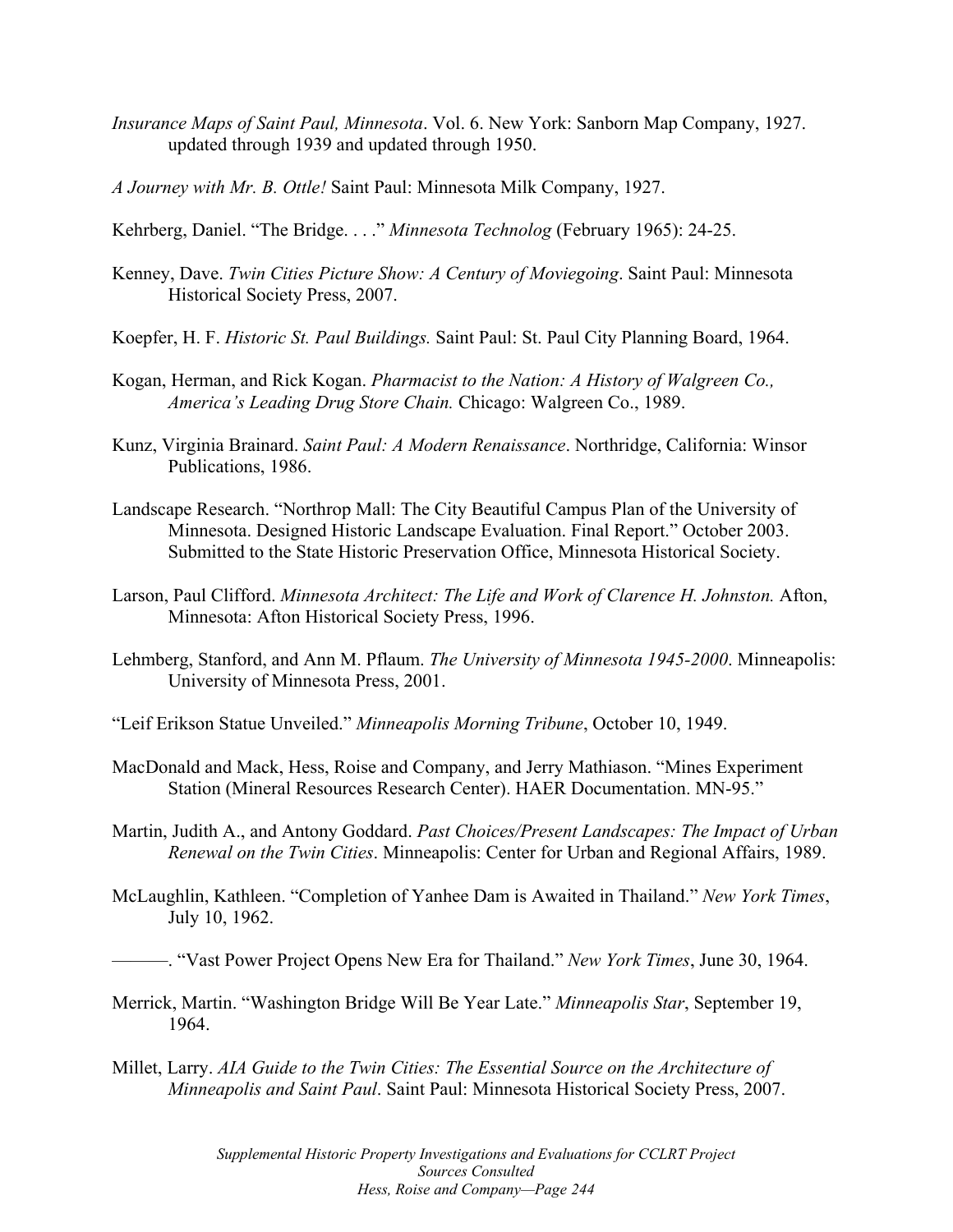- *Insurance Maps of Saint Paul, Minnesota*. Vol. 6. New York: Sanborn Map Company, 1927. updated through 1939 and updated through 1950.
- *A Journey with Mr. B. Ottle!* Saint Paul: Minnesota Milk Company, 1927.
- Kehrberg, Daniel. "The Bridge. . . ." *Minnesota Technolog* (February 1965): 24-25.
- Kenney, Dave. *Twin Cities Picture Show: A Century of Moviegoing*. Saint Paul: Minnesota Historical Society Press, 2007.
- Koepfer, H. F. *Historic St. Paul Buildings.* Saint Paul: St. Paul City Planning Board, 1964.
- Kogan, Herman, and Rick Kogan. *Pharmacist to the Nation: A History of Walgreen Co., America's Leading Drug Store Chain.* Chicago: Walgreen Co., 1989.
- Kunz, Virginia Brainard. *Saint Paul: A Modern Renaissance*. Northridge, California: Winsor Publications, 1986.
- Landscape Research. "Northrop Mall: The City Beautiful Campus Plan of the University of Minnesota. Designed Historic Landscape Evaluation. Final Report." October 2003. Submitted to the State Historic Preservation Office, Minnesota Historical Society.
- Larson, Paul Clifford. *Minnesota Architect: The Life and Work of Clarence H. Johnston.* Afton, Minnesota: Afton Historical Society Press, 1996.
- Lehmberg, Stanford, and Ann M. Pflaum. *The University of Minnesota 1945-2000*. Minneapolis: University of Minnesota Press, 2001.
- "Leif Erikson Statue Unveiled." *Minneapolis Morning Tribune*, October 10, 1949.
- MacDonald and Mack, Hess, Roise and Company, and Jerry Mathiason. "Mines Experiment Station (Mineral Resources Research Center). HAER Documentation. MN-95."
- Martin, Judith A., and Antony Goddard. *Past Choices/Present Landscapes: The Impact of Urban Renewal on the Twin Cities*. Minneapolis: Center for Urban and Regional Affairs, 1989.
- McLaughlin, Kathleen. "Completion of Yanhee Dam is Awaited in Thailand." *New York Times*, July 10, 1962.

———. "Vast Power Project Opens New Era for Thailand." *New York Times*, June 30, 1964.

- Merrick, Martin. "Washington Bridge Will Be Year Late." *Minneapolis Star*, September 19, 1964.
- Millet, Larry. *AIA Guide to the Twin Cities: The Essential Source on the Architecture of Minneapolis and Saint Paul*. Saint Paul: Minnesota Historical Society Press, 2007.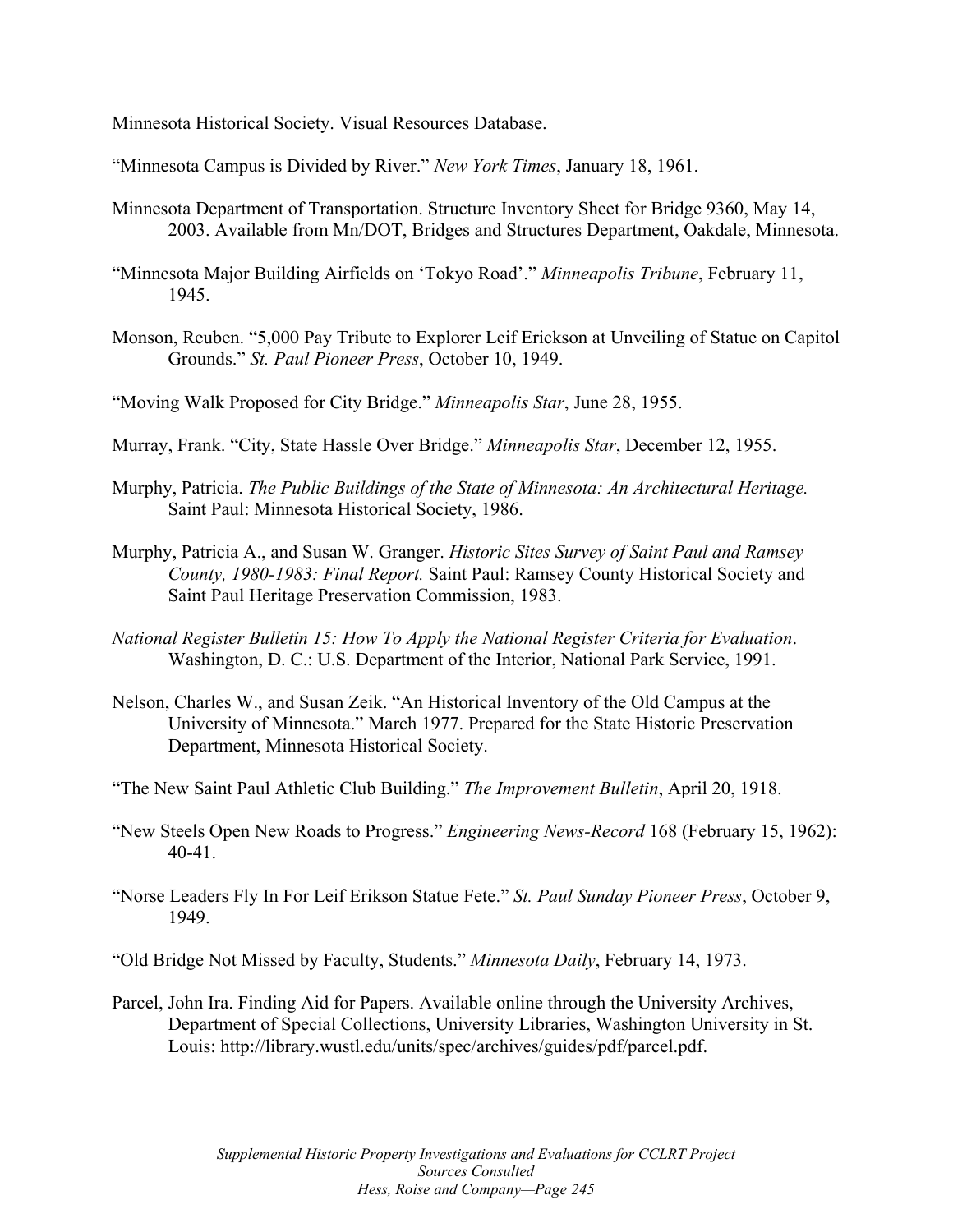Minnesota Historical Society. Visual Resources Database.

"Minnesota Campus is Divided by River." *New York Times*, January 18, 1961.

- Minnesota Department of Transportation. Structure Inventory Sheet for Bridge 9360, May 14, 2003. Available from Mn/DOT, Bridges and Structures Department, Oakdale, Minnesota.
- "Minnesota Major Building Airfields on 'Tokyo Road'." *Minneapolis Tribune*, February 11, 1945.
- Monson, Reuben. "5,000 Pay Tribute to Explorer Leif Erickson at Unveiling of Statue on Capitol Grounds." *St. Paul Pioneer Press*, October 10, 1949.

"Moving Walk Proposed for City Bridge." *Minneapolis Star*, June 28, 1955.

- Murray, Frank. "City, State Hassle Over Bridge." *Minneapolis Star*, December 12, 1955.
- Murphy, Patricia. *The Public Buildings of the State of Minnesota: An Architectural Heritage.*  Saint Paul: Minnesota Historical Society, 1986.
- Murphy, Patricia A., and Susan W. Granger. *Historic Sites Survey of Saint Paul and Ramsey County, 1980-1983: Final Report.* Saint Paul: Ramsey County Historical Society and Saint Paul Heritage Preservation Commission, 1983.
- *National Register Bulletin 15: How To Apply the National Register Criteria for Evaluation*. Washington, D. C.: U.S. Department of the Interior, National Park Service, 1991.
- Nelson, Charles W., and Susan Zeik. "An Historical Inventory of the Old Campus at the University of Minnesota." March 1977. Prepared for the State Historic Preservation Department, Minnesota Historical Society.
- "The New Saint Paul Athletic Club Building." *The Improvement Bulletin*, April 20, 1918.
- "New Steels Open New Roads to Progress." *Engineering News-Record* 168 (February 15, 1962): 40-41.
- "Norse Leaders Fly In For Leif Erikson Statue Fete." *St. Paul Sunday Pioneer Press*, October 9, 1949.
- "Old Bridge Not Missed by Faculty, Students." *Minnesota Daily*, February 14, 1973.
- Parcel, John Ira. Finding Aid for Papers. Available online through the University Archives, Department of Special Collections, University Libraries, Washington University in St. Louis: http://library.wustl.edu/units/spec/archives/guides/pdf/parcel.pdf.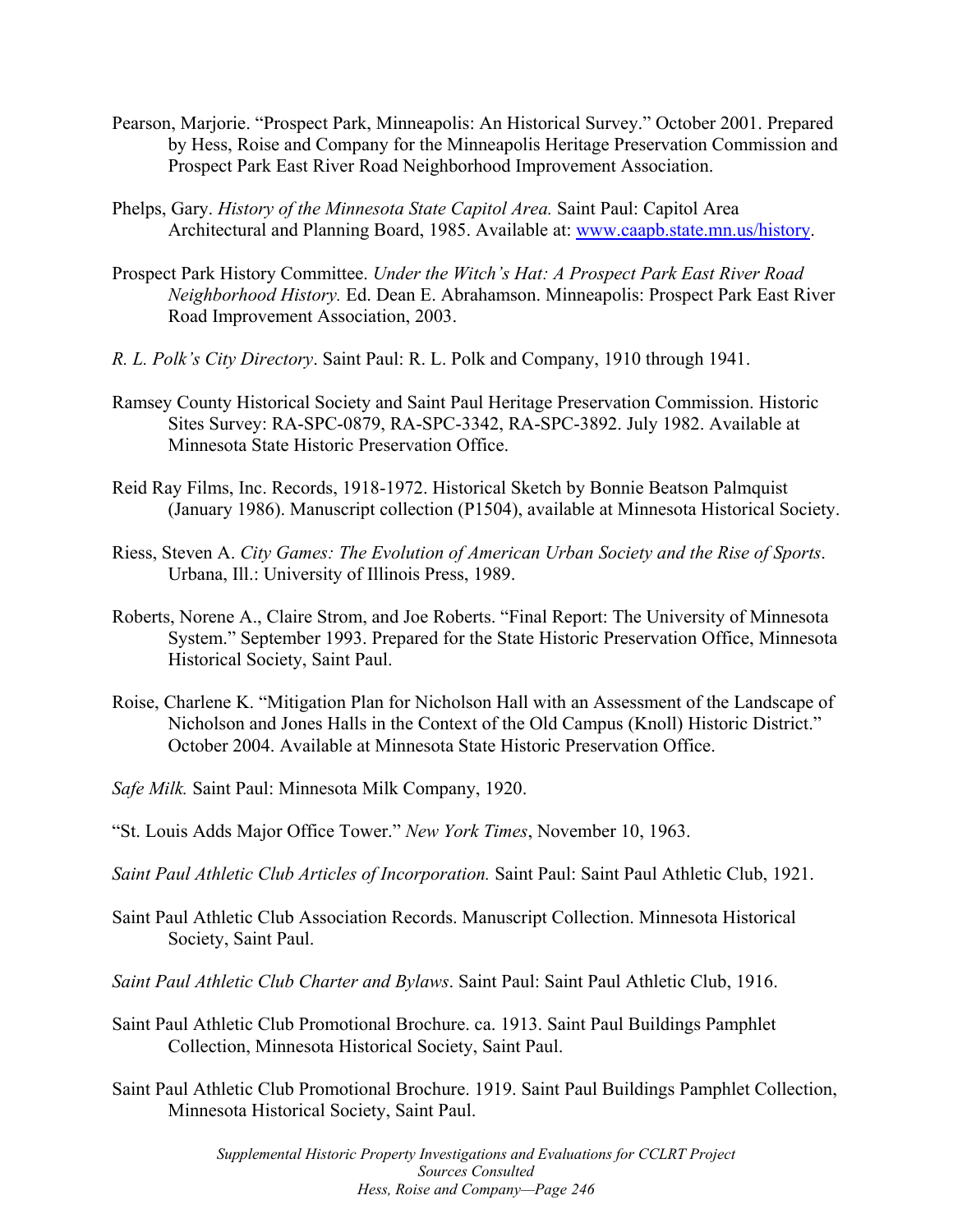- Pearson, Marjorie. "Prospect Park, Minneapolis: An Historical Survey." October 2001. Prepared by Hess, Roise and Company for the Minneapolis Heritage Preservation Commission and Prospect Park East River Road Neighborhood Improvement Association.
- Phelps, Gary. *History of the Minnesota State Capitol Area.* Saint Paul: Capitol Area Architectural and Planning Board, 1985. Available at: www.caapb.state.mn.us/history.
- Prospect Park History Committee. *Under the Witch's Hat: A Prospect Park East River Road Neighborhood History.* Ed. Dean E. Abrahamson. Minneapolis: Prospect Park East River Road Improvement Association, 2003.
- *R. L. Polk's City Directory*. Saint Paul: R. L. Polk and Company, 1910 through 1941.
- Ramsey County Historical Society and Saint Paul Heritage Preservation Commission. Historic Sites Survey: RA-SPC-0879, RA-SPC-3342, RA-SPC-3892. July 1982. Available at Minnesota State Historic Preservation Office.
- Reid Ray Films, Inc. Records, 1918-1972. Historical Sketch by Bonnie Beatson Palmquist (January 1986). Manuscript collection (P1504), available at Minnesota Historical Society.
- Riess, Steven A. *City Games: The Evolution of American Urban Society and the Rise of Sports*. Urbana, Ill.: University of Illinois Press, 1989.
- Roberts, Norene A., Claire Strom, and Joe Roberts. "Final Report: The University of Minnesota System." September 1993. Prepared for the State Historic Preservation Office, Minnesota Historical Society, Saint Paul.
- Roise, Charlene K. "Mitigation Plan for Nicholson Hall with an Assessment of the Landscape of Nicholson and Jones Halls in the Context of the Old Campus (Knoll) Historic District." October 2004. Available at Minnesota State Historic Preservation Office.
- *Safe Milk.* Saint Paul: Minnesota Milk Company, 1920.
- "St. Louis Adds Major Office Tower." *New York Times*, November 10, 1963.
- *Saint Paul Athletic Club Articles of Incorporation.* Saint Paul: Saint Paul Athletic Club, 1921.
- Saint Paul Athletic Club Association Records. Manuscript Collection. Minnesota Historical Society, Saint Paul.
- *Saint Paul Athletic Club Charter and Bylaws*. Saint Paul: Saint Paul Athletic Club, 1916.
- Saint Paul Athletic Club Promotional Brochure. ca. 1913. Saint Paul Buildings Pamphlet Collection, Minnesota Historical Society, Saint Paul.
- Saint Paul Athletic Club Promotional Brochure. 1919. Saint Paul Buildings Pamphlet Collection, Minnesota Historical Society, Saint Paul.

 *Supplemental Historic Property Investigations and Evaluations for CCLRT Project Hess, Roise and Company—Page 246 Sources Consulted*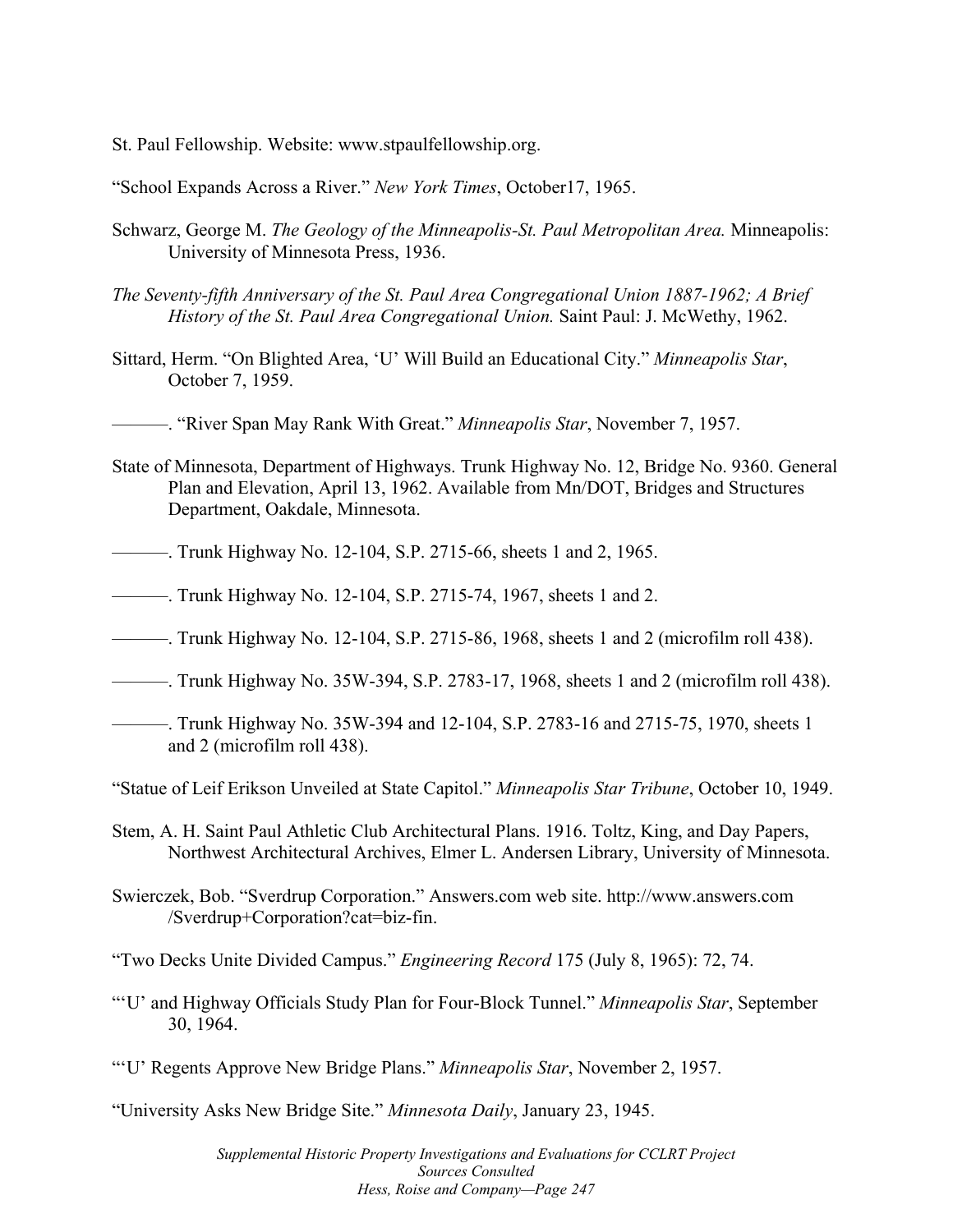St. Paul Fellowship. Website: www.stpaulfellowship.org.

"School Expands Across a River." *New York Times*, October17, 1965.

- Schwarz, George M. *The Geology of the Minneapolis-St. Paul Metropolitan Area.* Minneapolis: University of Minnesota Press, 1936.
- *The Seventy-fifth Anniversary of the St. Paul Area Congregational Union 1887-1962; A Brief History of the St. Paul Area Congregational Union.* Saint Paul: J. McWethy, 1962.
- Sittard, Herm. "On Blighted Area, 'U' Will Build an Educational City." *Minneapolis Star*, October 7, 1959.
- ———. "River Span May Rank With Great." *Minneapolis Star*, November 7, 1957.
- State of Minnesota, Department of Highways. Trunk Highway No. 12, Bridge No. 9360. General Plan and Elevation, April 13, 1962. Available from Mn/DOT, Bridges and Structures Department, Oakdale, Minnesota.
- ———. Trunk Highway No. 12-104, S.P. 2715-66, sheets 1 and 2, 1965.
- ———. Trunk Highway No. 12-104, S.P. 2715-74, 1967, sheets 1 and 2.
- ———. Trunk Highway No. 12-104, S.P. 2715-86, 1968, sheets 1 and 2 (microfilm roll 438).
- ———. Trunk Highway No. 35W-394, S.P. 2783-17, 1968, sheets 1 and 2 (microfilm roll 438).
- ———. Trunk Highway No. 35W-394 and 12-104, S.P. 2783-16 and 2715-75, 1970, sheets 1 and 2 (microfilm roll 438).

"Statue of Leif Erikson Unveiled at State Capitol." *Minneapolis Star Tribune*, October 10, 1949.

- Stem, A. H. Saint Paul Athletic Club Architectural Plans. 1916. Toltz, King, and Day Papers, Northwest Architectural Archives, Elmer L. Andersen Library, University of Minnesota.
- Swierczek, Bob. "Sverdrup Corporation." Answers.com web site. http://www.answers.com /Sverdrup+Corporation?cat=biz-fin.

"Two Decks Unite Divided Campus." *Engineering Record* 175 (July 8, 1965): 72, 74.

- "'U' and Highway Officials Study Plan for Four-Block Tunnel." *Minneapolis Star*, September 30, 1964.
- "'U' Regents Approve New Bridge Plans." *Minneapolis Star*, November 2, 1957.

"University Asks New Bridge Site." *Minnesota Daily*, January 23, 1945.

 *Supplemental Historic Property Investigations and Evaluations for CCLRT Project Hess, Roise and Company—Page 247 Sources Consulted*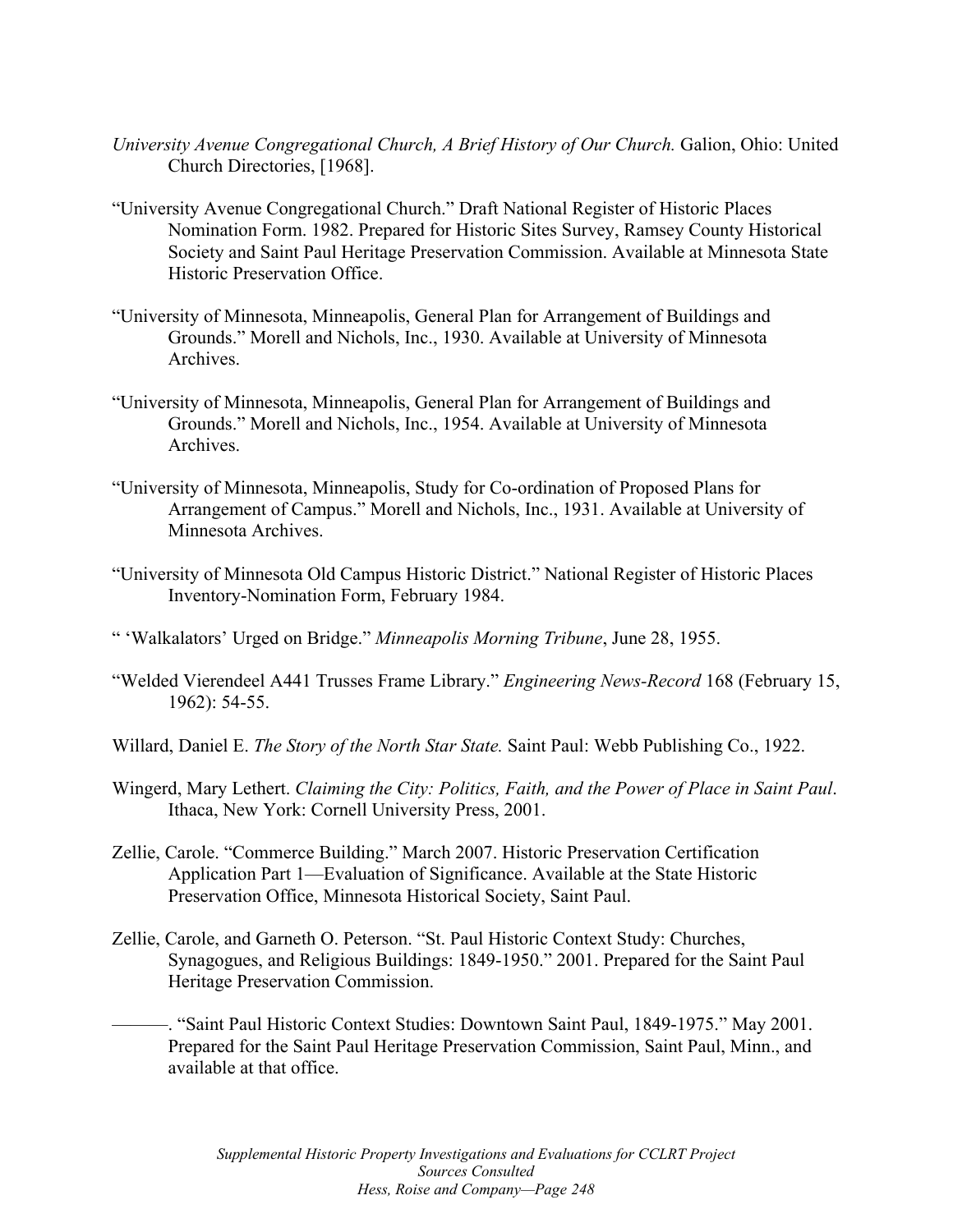- *University Avenue Congregational Church, A Brief History of Our Church.* Galion, Ohio: United Church Directories, [1968].
- "University Avenue Congregational Church." Draft National Register of Historic Places Nomination Form. 1982. Prepared for Historic Sites Survey, Ramsey County Historical Society and Saint Paul Heritage Preservation Commission. Available at Minnesota State Historic Preservation Office.
- "University of Minnesota, Minneapolis, General Plan for Arrangement of Buildings and Grounds." Morell and Nichols, Inc., 1930. Available at University of Minnesota Archives.
- "University of Minnesota, Minneapolis, General Plan for Arrangement of Buildings and Grounds." Morell and Nichols, Inc., 1954. Available at University of Minnesota Archives.
- "University of Minnesota, Minneapolis, Study for Co-ordination of Proposed Plans for Arrangement of Campus." Morell and Nichols, Inc., 1931. Available at University of Minnesota Archives.
- "University of Minnesota Old Campus Historic District." National Register of Historic Places Inventory-Nomination Form, February 1984.

" 'Walkalators' Urged on Bridge." *Minneapolis Morning Tribune*, June 28, 1955.

- "Welded Vierendeel A441 Trusses Frame Library." *Engineering News-Record* 168 (February 15, 1962): 54-55.
- Willard, Daniel E. *The Story of the North Star State.* Saint Paul: Webb Publishing Co., 1922.
- Wingerd, Mary Lethert. *Claiming the City: Politics, Faith, and the Power of Place in Saint Paul*. Ithaca, New York: Cornell University Press, 2001.
- Zellie, Carole. "Commerce Building." March 2007. Historic Preservation Certification Application Part 1—Evaluation of Significance. Available at the State Historic Preservation Office, Minnesota Historical Society, Saint Paul.
- Zellie, Carole, and Garneth O. Peterson. "St. Paul Historic Context Study: Churches, Synagogues, and Religious Buildings: 1849-1950." 2001. Prepared for the Saint Paul Heritage Preservation Commission.
	- ———. "Saint Paul Historic Context Studies: Downtown Saint Paul, 1849-1975." May 2001. Prepared for the Saint Paul Heritage Preservation Commission, Saint Paul, Minn., and available at that office.